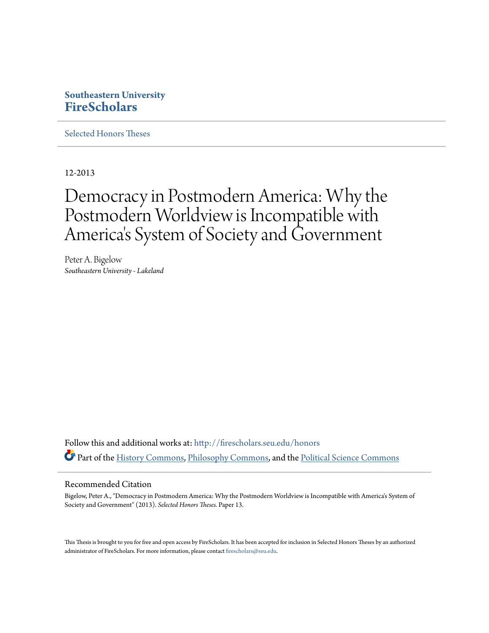### **Southeastern University [FireScholars](http://firescholars.seu.edu?utm_source=firescholars.seu.edu%2Fhonors%2F13&utm_medium=PDF&utm_campaign=PDFCoverPages)**

[Selected Honors Theses](http://firescholars.seu.edu/honors?utm_source=firescholars.seu.edu%2Fhonors%2F13&utm_medium=PDF&utm_campaign=PDFCoverPages)

12-2013

# Democracy in Postmodern America: Why the Postmodern Worldview is Incompatible with America 's System of Society and Government

Peter A. Bigelow *Southeastern University - Lakeland*

Follow this and additional works at: [http://firescholars.seu.edu/honors](http://firescholars.seu.edu/honors?utm_source=firescholars.seu.edu%2Fhonors%2F13&utm_medium=PDF&utm_campaign=PDFCoverPages) Part of the [History Commons](http://network.bepress.com/hgg/discipline/489?utm_source=firescholars.seu.edu%2Fhonors%2F13&utm_medium=PDF&utm_campaign=PDFCoverPages), [Philosophy Commons](http://network.bepress.com/hgg/discipline/525?utm_source=firescholars.seu.edu%2Fhonors%2F13&utm_medium=PDF&utm_campaign=PDFCoverPages), and the [Political Science Commons](http://network.bepress.com/hgg/discipline/386?utm_source=firescholars.seu.edu%2Fhonors%2F13&utm_medium=PDF&utm_campaign=PDFCoverPages)

### Recommended Citation

Bigelow, Peter A., "Democracy in Postmodern America: Why the Postmodern Worldview is Incompatible with America's System of Society and Government" (2013). *Selected Honors Theses.* Paper 13.

This Thesis is brought to you for free and open access by FireScholars. It has been accepted for inclusion in Selected Honors Theses by an authorized administrator of FireScholars. For more information, please contact [firescholars@seu.edu](mailto:firescholars@seu.edu).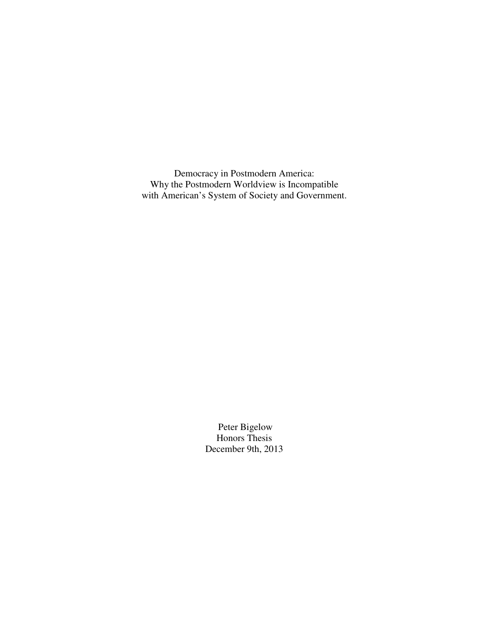Democracy in Postmodern America: Why the Postmodern Worldview is Incompatible with American's System of Society and Government.

> Peter Bigelow Honors Thesis December 9th, 2013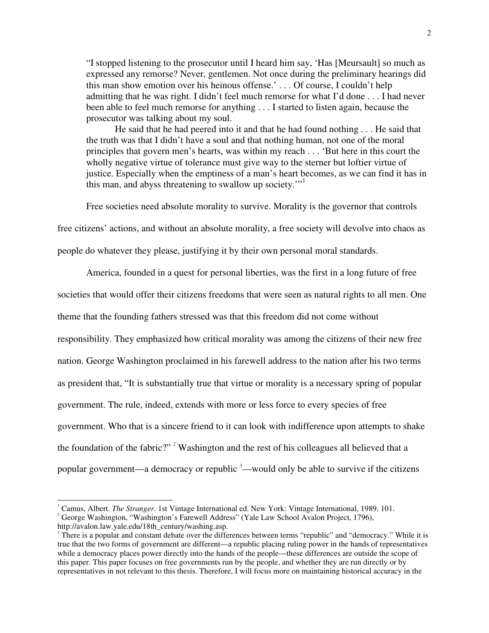"I stopped listening to the prosecutor until I heard him say, 'Has [Meursault] so much as expressed any remorse? Never, gentlemen. Not once during the preliminary hearings did this man show emotion over his heinous offense.' . . . Of course, I couldn't help admitting that he was right. I didn't feel much remorse for what I'd done . . . I had never been able to feel much remorse for anything . . . I started to listen again, because the prosecutor was talking about my soul.

 He said that he had peered into it and that he had found nothing . . . He said that the truth was that I didn't have a soul and that nothing human, not one of the moral principles that govern men's hearts, was within my reach . . . 'But here in this court the wholly negative virtue of tolerance must give way to the sterner but loftier virtue of justice. Especially when the emptiness of a man's heart becomes, as we can find it has in this man, and abyss threatening to swallow up society."<sup>1</sup>

Free societies need absolute morality to survive. Morality is the governor that controls

free citizens' actions, and without an absolute morality, a free society will devolve into chaos as

people do whatever they please, justifying it by their own personal moral standards.

 America, founded in a quest for personal liberties, was the first in a long future of free societies that would offer their citizens freedoms that were seen as natural rights to all men. One theme that the founding fathers stressed was that this freedom did not come without responsibility. They emphasized how critical morality was among the citizens of their new free nation. George Washington proclaimed in his farewell address to the nation after his two terms as president that, "It is substantially true that virtue or morality is a necessary spring of popular government. The rule, indeed, extends with more or less force to every species of free government. Who that is a sincere friend to it can look with indifference upon attempts to shake the foundation of the fabric?"<sup>2</sup> Washington and the rest of his colleagues all believed that a popular government—a democracy or republic <sup>3</sup>—would only be able to survive if the citizens

<sup>&</sup>lt;sup>1</sup> Camus, Albert. *The Stranger*. 1st Vintage International ed. New York: Vintage International, 1989, 101.

<sup>&</sup>lt;sup>2</sup> George Washington, "Washington's Farewell Address" (Yale Law School Avalon Project, 1796),

http://avalon.law.yale.edu/18th\_century/washing.asp.

<sup>&</sup>lt;sup>3</sup> There is a popular and constant debate over the differences between terms "republic" and "democracy." While it is true that the two forms of government are different—a republic placing ruling power in the hands of representatives while a democracy places power directly into the hands of the people—these differences are outside the scope of this paper. This paper focuses on free governments run by the people, and whether they are run directly or by representatives in not relevant to this thesis. Therefore, I will focus more on maintaining historical accuracy in the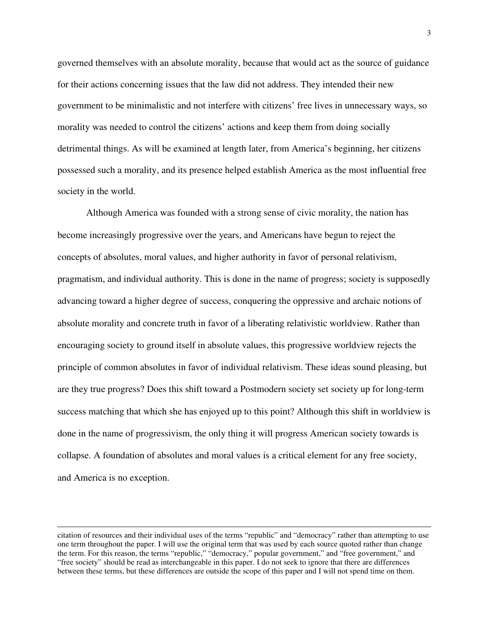governed themselves with an absolute morality, because that would act as the source of guidance for their actions concerning issues that the law did not address. They intended their new government to be minimalistic and not interfere with citizens' free lives in unnecessary ways, so morality was needed to control the citizens' actions and keep them from doing socially detrimental things. As will be examined at length later, from America's beginning, her citizens possessed such a morality, and its presence helped establish America as the most influential free society in the world.

 Although America was founded with a strong sense of civic morality, the nation has become increasingly progressive over the years, and Americans have begun to reject the concepts of absolutes, moral values, and higher authority in favor of personal relativism, pragmatism, and individual authority. This is done in the name of progress; society is supposedly advancing toward a higher degree of success, conquering the oppressive and archaic notions of absolute morality and concrete truth in favor of a liberating relativistic worldview. Rather than encouraging society to ground itself in absolute values, this progressive worldview rejects the principle of common absolutes in favor of individual relativism. These ideas sound pleasing, but are they true progress? Does this shift toward a Postmodern society set society up for long-term success matching that which she has enjoyed up to this point? Although this shift in worldview is done in the name of progressivism, the only thing it will progress American society towards is collapse. A foundation of absolutes and moral values is a critical element for any free society, and America is no exception.

citation of resources and their individual uses of the terms "republic" and "democracy" rather than attempting to use one term throughout the paper. I will use the original term that was used by each source quoted rather than change the term. For this reason, the terms "republic," "democracy," popular government," and "free government," and "free society" should be read as interchangeable in this paper. I do not seek to ignore that there are differences between these terms, but these differences are outside the scope of this paper and I will not spend time on them.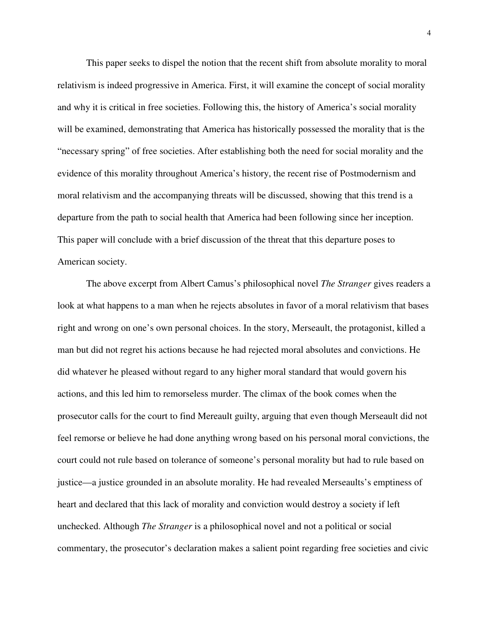This paper seeks to dispel the notion that the recent shift from absolute morality to moral relativism is indeed progressive in America. First, it will examine the concept of social morality and why it is critical in free societies. Following this, the history of America's social morality will be examined, demonstrating that America has historically possessed the morality that is the "necessary spring" of free societies. After establishing both the need for social morality and the evidence of this morality throughout America's history, the recent rise of Postmodernism and moral relativism and the accompanying threats will be discussed, showing that this trend is a departure from the path to social health that America had been following since her inception. This paper will conclude with a brief discussion of the threat that this departure poses to American society.

 The above excerpt from Albert Camus's philosophical novel *The Stranger* gives readers a look at what happens to a man when he rejects absolutes in favor of a moral relativism that bases right and wrong on one's own personal choices. In the story, Merseault, the protagonist, killed a man but did not regret his actions because he had rejected moral absolutes and convictions. He did whatever he pleased without regard to any higher moral standard that would govern his actions, and this led him to remorseless murder. The climax of the book comes when the prosecutor calls for the court to find Mereault guilty, arguing that even though Merseault did not feel remorse or believe he had done anything wrong based on his personal moral convictions, the court could not rule based on tolerance of someone's personal morality but had to rule based on justice—a justice grounded in an absolute morality. He had revealed Merseaults's emptiness of heart and declared that this lack of morality and conviction would destroy a society if left unchecked. Although *The Stranger* is a philosophical novel and not a political or social commentary, the prosecutor's declaration makes a salient point regarding free societies and civic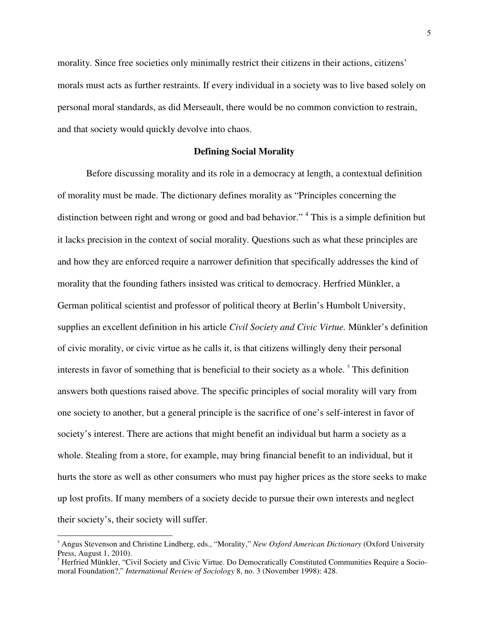morality. Since free societies only minimally restrict their citizens in their actions, citizens' morals must acts as further restraints. If every individual in a society was to live based solely on personal moral standards, as did Merseault, there would be no common conviction to restrain, and that society would quickly devolve into chaos.

### **Defining Social Morality**

Before discussing morality and its role in a democracy at length, a contextual definition of morality must be made. The dictionary defines morality as "Principles concerning the distinction between right and wrong or good and bad behavior."<sup>4</sup> This is a simple definition but it lacks precision in the context of social morality. Questions such as what these principles are and how they are enforced require a narrower definition that specifically addresses the kind of morality that the founding fathers insisted was critical to democracy. Herfried Münkler, a German political scientist and professor of political theory at Berlin's Humbolt University, supplies an excellent definition in his article *Civil Society and Civic Virtue.* Münkler's definition of civic morality, or civic virtue as he calls it, is that citizens willingly deny their personal interests in favor of something that is beneficial to their society as a whole.<sup>5</sup> This definition answers both questions raised above. The specific principles of social morality will vary from one society to another, but a general principle is the sacrifice of one's self-interest in favor of society's interest. There are actions that might benefit an individual but harm a society as a whole. Stealing from a store, for example, may bring financial benefit to an individual, but it hurts the store as well as other consumers who must pay higher prices as the store seeks to make up lost profits. If many members of a society decide to pursue their own interests and neglect their society's, their society will suffer.

<sup>4</sup> Angus Stevenson and Christine Lindberg, eds., "Morality," *New Oxford American Dictionary* (Oxford University Press, August 1, 2010).

<sup>&</sup>lt;sup>5</sup> Herfried Münkler, "Civil Society and Civic Virtue. Do Democratically Constituted Communities Require a Sociomoral Foundation?," *International Review of Sociology* 8, no. 3 (November 1998): 428.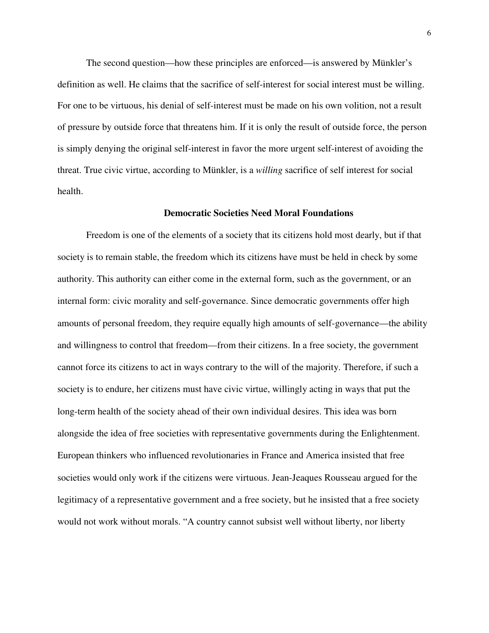The second question—how these principles are enforced—is answered by Münkler's definition as well. He claims that the sacrifice of self-interest for social interest must be willing. For one to be virtuous, his denial of self-interest must be made on his own volition, not a result of pressure by outside force that threatens him. If it is only the result of outside force, the person is simply denying the original self-interest in favor the more urgent self-interest of avoiding the threat. True civic virtue, according to Münkler, is a *willing* sacrifice of self interest for social health.

### **Democratic Societies Need Moral Foundations**

Freedom is one of the elements of a society that its citizens hold most dearly, but if that society is to remain stable, the freedom which its citizens have must be held in check by some authority. This authority can either come in the external form, such as the government, or an internal form: civic morality and self-governance. Since democratic governments offer high amounts of personal freedom, they require equally high amounts of self-governance—the ability and willingness to control that freedom—from their citizens. In a free society, the government cannot force its citizens to act in ways contrary to the will of the majority. Therefore, if such a society is to endure, her citizens must have civic virtue, willingly acting in ways that put the long-term health of the society ahead of their own individual desires. This idea was born alongside the idea of free societies with representative governments during the Enlightenment. European thinkers who influenced revolutionaries in France and America insisted that free societies would only work if the citizens were virtuous. Jean-Jeaques Rousseau argued for the legitimacy of a representative government and a free society, but he insisted that a free society would not work without morals. "A country cannot subsist well without liberty, nor liberty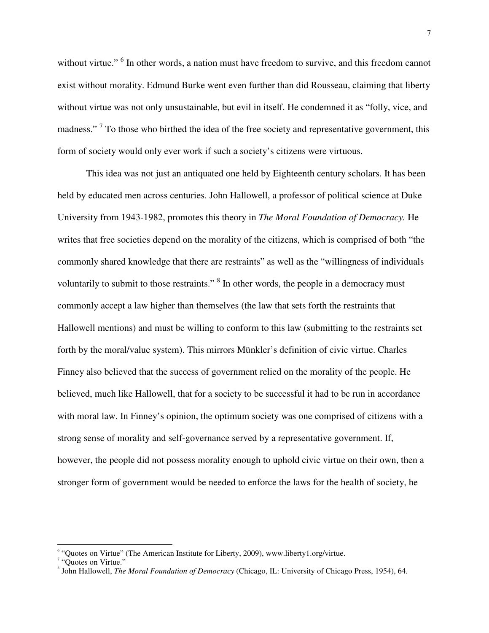without virtue."<sup>6</sup> In other words, a nation must have freedom to survive, and this freedom cannot exist without morality. Edmund Burke went even further than did Rousseau, claiming that liberty without virtue was not only unsustainable, but evil in itself. He condemned it as "folly, vice, and madness."<sup>7</sup> To those who birthed the idea of the free society and representative government, this form of society would only ever work if such a society's citizens were virtuous.

This idea was not just an antiquated one held by Eighteenth century scholars. It has been held by educated men across centuries. John Hallowell, a professor of political science at Duke University from 1943-1982, promotes this theory in *The Moral Foundation of Democracy.* He writes that free societies depend on the morality of the citizens, which is comprised of both "the commonly shared knowledge that there are restraints" as well as the "willingness of individuals voluntarily to submit to those restraints."<sup>8</sup> In other words, the people in a democracy must commonly accept a law higher than themselves (the law that sets forth the restraints that Hallowell mentions) and must be willing to conform to this law (submitting to the restraints set forth by the moral/value system). This mirrors Münkler's definition of civic virtue. Charles Finney also believed that the success of government relied on the morality of the people. He believed, much like Hallowell, that for a society to be successful it had to be run in accordance with moral law. In Finney's opinion, the optimum society was one comprised of citizens with a strong sense of morality and self-governance served by a representative government. If, however, the people did not possess morality enough to uphold civic virtue on their own, then a stronger form of government would be needed to enforce the laws for the health of society, he

<sup>&</sup>lt;sup>6</sup> "Quotes on Virtue" (The American Institute for Liberty, 2009), www.liberty1.org/virtue.

<sup>&</sup>lt;sup>7</sup> "Quotes on Virtue."

<sup>8</sup> John Hallowell, *The Moral Foundation of Democracy* (Chicago, IL: University of Chicago Press, 1954), 64.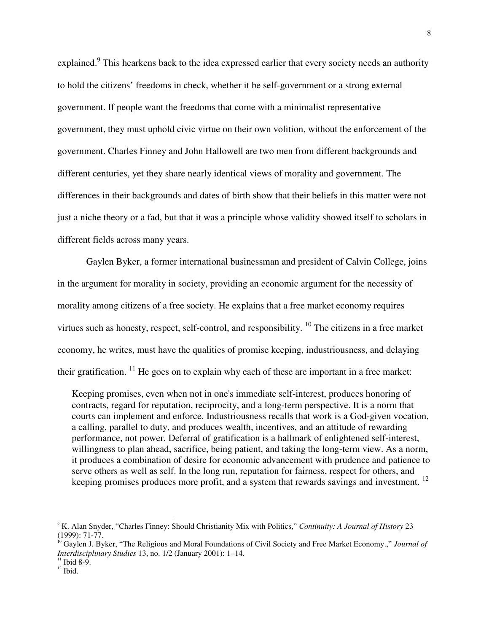explained.<sup>9</sup> This hearkens back to the idea expressed earlier that every society needs an authority to hold the citizens' freedoms in check, whether it be self-government or a strong external government. If people want the freedoms that come with a minimalist representative government, they must uphold civic virtue on their own volition, without the enforcement of the government. Charles Finney and John Hallowell are two men from different backgrounds and different centuries, yet they share nearly identical views of morality and government. The differences in their backgrounds and dates of birth show that their beliefs in this matter were not just a niche theory or a fad, but that it was a principle whose validity showed itself to scholars in different fields across many years.

Gaylen Byker, a former international businessman and president of Calvin College, joins in the argument for morality in society, providing an economic argument for the necessity of morality among citizens of a free society. He explains that a free market economy requires virtues such as honesty, respect, self-control, and responsibility.  $^{10}$  The citizens in a free market economy, he writes, must have the qualities of promise keeping, industriousness, and delaying their gratification.  $^{11}$  He goes on to explain why each of these are important in a free market:

Keeping promises, even when not in one's immediate self-interest, produces honoring of contracts, regard for reputation, reciprocity, and a long-term perspective. It is a norm that courts can implement and enforce. Industriousness recalls that work is a God-given vocation, a calling, parallel to duty, and produces wealth, incentives, and an attitude of rewarding performance, not power. Deferral of gratification is a hallmark of enlightened self-interest, willingness to plan ahead, sacrifice, being patient, and taking the long-term view. As a norm, it produces a combination of desire for economic advancement with prudence and patience to serve others as well as self. In the long run, reputation for fairness, respect for others, and keeping promises produces more profit, and a system that rewards savings and investment. <sup>12</sup>

<sup>9</sup> K. Alan Snyder, "Charles Finney: Should Christianity Mix with Politics," *Continuity: A Journal of History* 23 (1999): 71-77.

<sup>&</sup>lt;sup>10</sup> Gaylen J. Byker, "The Religious and Moral Foundations of Civil Society and Free Market Economy.," *Journal of Interdisciplinary Studies* 13, no. 1/2 (January 2001): 1–14.

 $11$  Ibid 8-9.

 $12$  Ibid.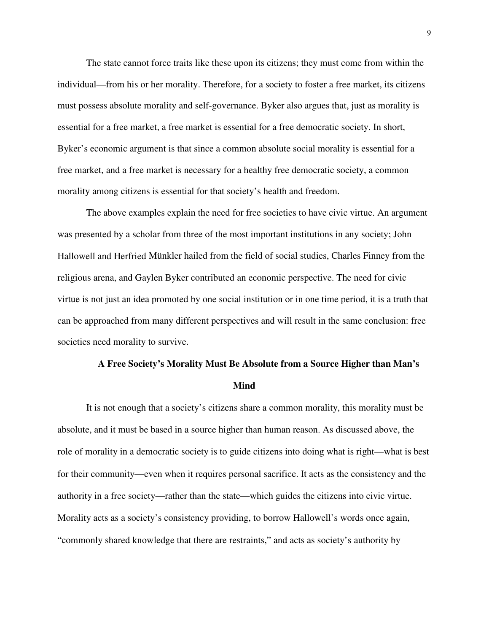The state cannot force traits like these upon its citizens; they must come from within the individual—from his or her morality. Therefore, for a society to foster a free market, its citizens must possess absolute morality and self-governance. Byker also argues that, just as morality is essential for a free market, a free market is essential for a free democratic society. In short, Byker's economic argument is that since a common absolute social morality is essential for a free market, and a free market is necessary for a healthy free democratic society, a common morality among citizens is essential for that society's health and freedom.

The above examples explain the need for free societies to have civic virtue. An argument was presented by a scholar from three of the most important institutions in any society; John Hallowell and Herfried Münkler hailed from the field of social studies, Charles Finney from the religious arena, and Gaylen Byker contributed an economic perspective. The need for civic virtue is not just an idea promoted by one social institution or in one time period, it is a truth that can be approached from many different perspectives and will result in the same conclusion: free societies need morality to survive.

## **A Free Society's Morality Must Be Absolute from a Source Higher than Man's Mind**

It is not enough that a society's citizens share a common morality, this morality must be absolute, and it must be based in a source higher than human reason. As discussed above, the role of morality in a democratic society is to guide citizens into doing what is right—what is best for their community—even when it requires personal sacrifice. It acts as the consistency and the authority in a free society—rather than the state—which guides the citizens into civic virtue. Morality acts as a society's consistency providing, to borrow Hallowell's words once again, "commonly shared knowledge that there are restraints," and acts as society's authority by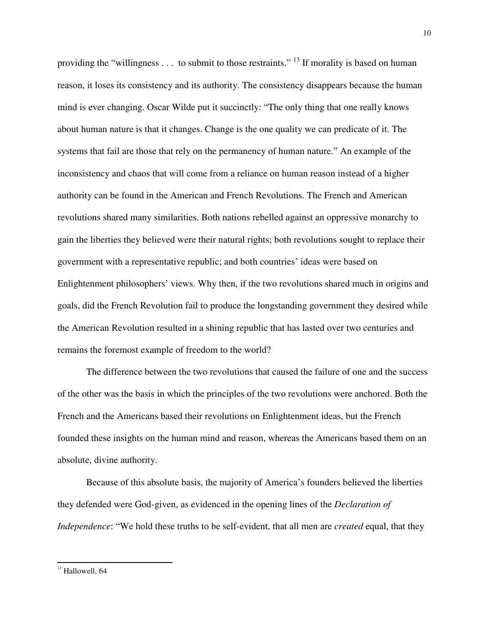providing the "willingness  $\dots$  to submit to those restraints." <sup>13</sup> If morality is based on human reason, it loses its consistency and its authority. The consistency disappears because the human mind is ever changing. Oscar Wilde put it succinctly: "The only thing that one really knows about human nature is that it changes. Change is the one quality we can predicate of it. The systems that fail are those that rely on the permanency of human nature." An example of the inconsistency and chaos that will come from a reliance on human reason instead of a higher authority can be found in the American and French Revolutions. The French and American revolutions shared many similarities. Both nations rebelled against an oppressive monarchy to gain the liberties they believed were their natural rights; both revolutions sought to replace their government with a representative republic; and both countries' ideas were based on Enlightenment philosophers' views. Why then, if the two revolutions shared much in origins and goals, did the French Revolution fail to produce the longstanding government they desired while the American Revolution resulted in a shining republic that has lasted over two centuries and remains the foremost example of freedom to the world?

The difference between the two revolutions that caused the failure of one and the success of the other was the basis in which the principles of the two revolutions were anchored. Both the French and the Americans based their revolutions on Enlightenment ideas, but the French founded these insights on the human mind and reason, whereas the Americans based them on an absolute, divine authority.

Because of this absolute basis, the majority of America's founders believed the liberties they defended were God-given, as evidenced in the opening lines of the *Declaration of Independence*: "We hold these truths to be self-evident, that all men are *created* equal, that they

<sup>10</sup> 

<sup>&</sup>lt;sup>13</sup> Hallowell, 64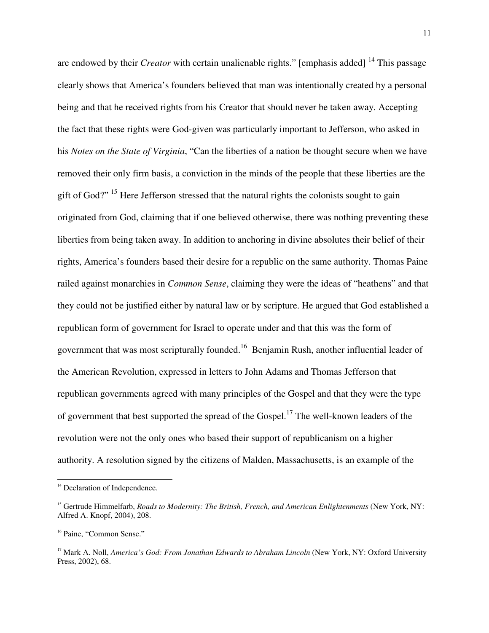are endowed by their *Creator* with certain unalienable rights." [emphasis added]<sup>14</sup> This passage clearly shows that America's founders believed that man was intentionally created by a personal being and that he received rights from his Creator that should never be taken away. Accepting the fact that these rights were God-given was particularly important to Jefferson, who asked in his *Notes on the State of Virginia*, "Can the liberties of a nation be thought secure when we have removed their only firm basis, a conviction in the minds of the people that these liberties are the gift of God?" <sup>15</sup> Here Jefferson stressed that the natural rights the colonists sought to gain originated from God, claiming that if one believed otherwise, there was nothing preventing these liberties from being taken away. In addition to anchoring in divine absolutes their belief of their rights, America's founders based their desire for a republic on the same authority. Thomas Paine railed against monarchies in *Common Sense*, claiming they were the ideas of "heathens" and that they could not be justified either by natural law or by scripture. He argued that God established a republican form of government for Israel to operate under and that this was the form of government that was most scripturally founded.<sup>16</sup> Benjamin Rush, another influential leader of the American Revolution, expressed in letters to John Adams and Thomas Jefferson that republican governments agreed with many principles of the Gospel and that they were the type of government that best supported the spread of the Gospel.<sup>17</sup> The well-known leaders of the revolution were not the only ones who based their support of republicanism on a higher authority. A resolution signed by the citizens of Malden, Massachusetts, is an example of the

<sup>&</sup>lt;sup>14</sup> Declaration of Independence.

<sup>&</sup>lt;sup>15</sup> Gertrude Himmelfarb, *Roads to Modernity: The British, French, and American Enlightenments* (New York, NY: Alfred A. Knopf, 2004), 208.

<sup>&</sup>lt;sup>16</sup> Paine, "Common Sense."

<sup>&</sup>lt;sup>17</sup> Mark A. Noll, *America's God: From Jonathan Edwards to Abraham Lincoln* (New York, NY: Oxford University Press, 2002), 68.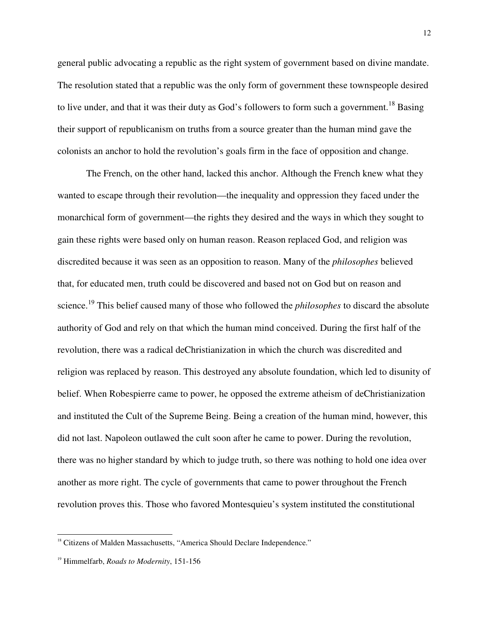general public advocating a republic as the right system of government based on divine mandate. The resolution stated that a republic was the only form of government these townspeople desired to live under, and that it was their duty as God's followers to form such a government.<sup>18</sup> Basing their support of republicanism on truths from a source greater than the human mind gave the colonists an anchor to hold the revolution's goals firm in the face of opposition and change.

The French, on the other hand, lacked this anchor. Although the French knew what they wanted to escape through their revolution—the inequality and oppression they faced under the monarchical form of government—the rights they desired and the ways in which they sought to gain these rights were based only on human reason. Reason replaced God, and religion was discredited because it was seen as an opposition to reason. Many of the *philosophes* believed that, for educated men, truth could be discovered and based not on God but on reason and science.<sup>19</sup> This belief caused many of those who followed the *philosophes* to discard the absolute authority of God and rely on that which the human mind conceived. During the first half of the revolution, there was a radical deChristianization in which the church was discredited and religion was replaced by reason. This destroyed any absolute foundation, which led to disunity of belief. When Robespierre came to power, he opposed the extreme atheism of deChristianization and instituted the Cult of the Supreme Being. Being a creation of the human mind, however, this did not last. Napoleon outlawed the cult soon after he came to power. During the revolution, there was no higher standard by which to judge truth, so there was nothing to hold one idea over another as more right. The cycle of governments that came to power throughout the French revolution proves this. Those who favored Montesquieu's system instituted the constitutional

<sup>&</sup>lt;sup>18</sup> Citizens of Malden Massachusetts, "America Should Declare Independence."

<sup>19</sup> Himmelfarb, *Roads to Modernity*, 151-156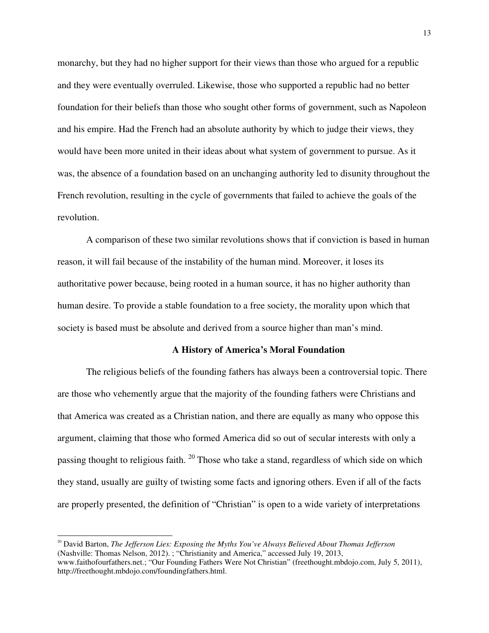monarchy, but they had no higher support for their views than those who argued for a republic and they were eventually overruled. Likewise, those who supported a republic had no better foundation for their beliefs than those who sought other forms of government, such as Napoleon and his empire. Had the French had an absolute authority by which to judge their views, they would have been more united in their ideas about what system of government to pursue. As it was, the absence of a foundation based on an unchanging authority led to disunity throughout the French revolution, resulting in the cycle of governments that failed to achieve the goals of the revolution.

A comparison of these two similar revolutions shows that if conviction is based in human reason, it will fail because of the instability of the human mind. Moreover, it loses its authoritative power because, being rooted in a human source, it has no higher authority than human desire. To provide a stable foundation to a free society, the morality upon which that society is based must be absolute and derived from a source higher than man's mind.

### **A History of America's Moral Foundation**

The religious beliefs of the founding fathers has always been a controversial topic. There are those who vehemently argue that the majority of the founding fathers were Christians and that America was created as a Christian nation, and there are equally as many who oppose this argument, claiming that those who formed America did so out of secular interests with only a passing thought to religious faith. <sup>20</sup> Those who take a stand, regardless of which side on which they stand, usually are guilty of twisting some facts and ignoring others. Even if all of the facts are properly presented, the definition of "Christian" is open to a wide variety of interpretations

<sup>20</sup> David Barton, *The Jefferson Lies: Exposing the Myths You've Always Believed About Thomas Jefferson* (Nashville: Thomas Nelson, 2012). ; "Christianity and America," accessed July 19, 2013, www.faithofourfathers.net.; "Our Founding Fathers Were Not Christian" (freethought.mbdojo.com, July 5, 2011), http://freethought.mbdojo.com/foundingfathers.html.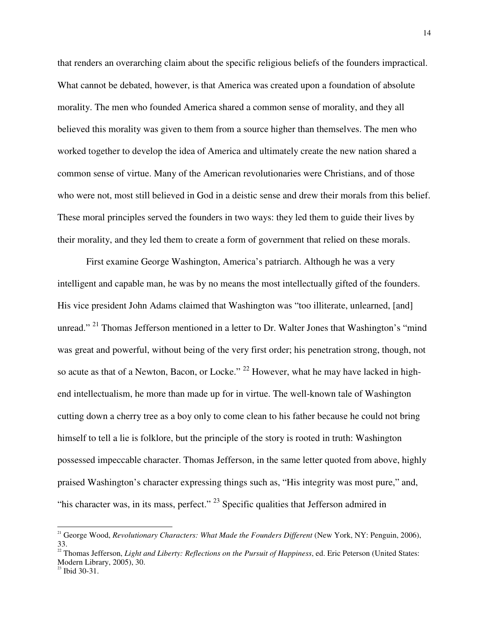that renders an overarching claim about the specific religious beliefs of the founders impractical. What cannot be debated, however, is that America was created upon a foundation of absolute morality. The men who founded America shared a common sense of morality, and they all believed this morality was given to them from a source higher than themselves. The men who worked together to develop the idea of America and ultimately create the new nation shared a common sense of virtue. Many of the American revolutionaries were Christians, and of those who were not, most still believed in God in a deistic sense and drew their morals from this belief. These moral principles served the founders in two ways: they led them to guide their lives by their morality, and they led them to create a form of government that relied on these morals.

First examine George Washington, America's patriarch. Although he was a very intelligent and capable man, he was by no means the most intellectually gifted of the founders. His vice president John Adams claimed that Washington was "too illiterate, unlearned, [and] unread." <sup>21</sup> Thomas Jefferson mentioned in a letter to Dr. Walter Jones that Washington's "mind" was great and powerful, without being of the very first order; his penetration strong, though, not so acute as that of a Newton, Bacon, or Locke." <sup>22</sup> However, what he may have lacked in highend intellectualism, he more than made up for in virtue. The well-known tale of Washington cutting down a cherry tree as a boy only to come clean to his father because he could not bring himself to tell a lie is folklore, but the principle of the story is rooted in truth: Washington possessed impeccable character. Thomas Jefferson, in the same letter quoted from above, highly praised Washington's character expressing things such as, "His integrity was most pure," and, "his character was, in its mass, perfect."  $^{23}$  Specific qualities that Jefferson admired in

<sup>&</sup>lt;sup>21</sup> George Wood, *Revolutionary Characters: What Made the Founders Different* (New York, NY: Penguin, 2006), 33.

 $22$  Thomas Jefferson, *Light and Liberty: Reflections on the Pursuit of Happiness*, ed. Eric Peterson (United States: Modern Library, 2005), 30.

 $^{23}$  Ibid 30-31.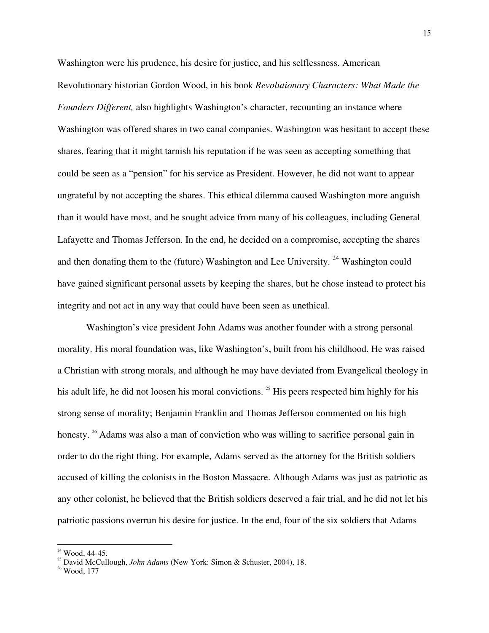Washington were his prudence, his desire for justice, and his selflessness. American Revolutionary historian Gordon Wood, in his book *Revolutionary Characters: What Made the Founders Different,* also highlights Washington's character, recounting an instance where Washington was offered shares in two canal companies. Washington was hesitant to accept these shares, fearing that it might tarnish his reputation if he was seen as accepting something that could be seen as a "pension" for his service as President. However, he did not want to appear ungrateful by not accepting the shares. This ethical dilemma caused Washington more anguish than it would have most, and he sought advice from many of his colleagues, including General Lafayette and Thomas Jefferson. In the end, he decided on a compromise, accepting the shares and then donating them to the (future) Washington and Lee University.  $24$  Washington could have gained significant personal assets by keeping the shares, but he chose instead to protect his integrity and not act in any way that could have been seen as unethical.

Washington's vice president John Adams was another founder with a strong personal morality. His moral foundation was, like Washington's, built from his childhood. He was raised a Christian with strong morals, and although he may have deviated from Evangelical theology in his adult life, he did not loosen his moral convictions.<sup>25</sup> His peers respected him highly for his strong sense of morality; Benjamin Franklin and Thomas Jefferson commented on his high honesty. <sup>26</sup> Adams was also a man of conviction who was willing to sacrifice personal gain in order to do the right thing. For example, Adams served as the attorney for the British soldiers accused of killing the colonists in the Boston Massacre. Although Adams was just as patriotic as any other colonist, he believed that the British soldiers deserved a fair trial, and he did not let his patriotic passions overrun his desire for justice. In the end, four of the six soldiers that Adams

 $24$  Wood, 44-45.

<sup>25</sup> David McCullough, *John Adams* (New York: Simon & Schuster, 2004), 18.

 $26$  Wood, 177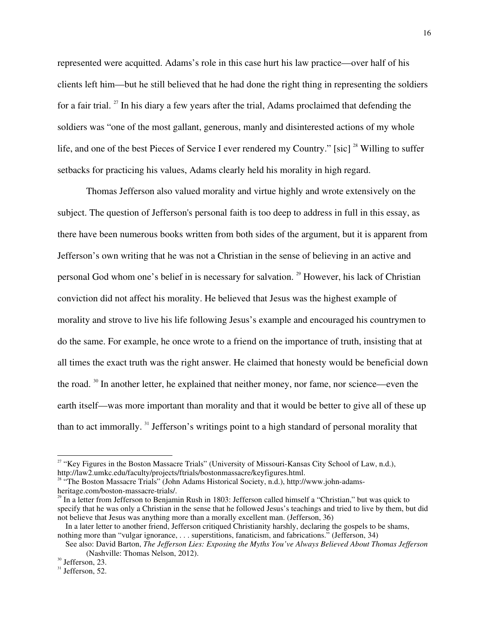represented were acquitted. Adams's role in this case hurt his law practice—over half of his clients left him—but he still believed that he had done the right thing in representing the soldiers for a fair trial.  $27$  In his diary a few years after the trial, Adams proclaimed that defending the soldiers was "one of the most gallant, generous, manly and disinterested actions of my whole life, and one of the best Pieces of Service I ever rendered my Country." [sic] <sup>28</sup> Willing to suffer setbacks for practicing his values, Adams clearly held his morality in high regard.

Thomas Jefferson also valued morality and virtue highly and wrote extensively on the subject. The question of Jefferson's personal faith is too deep to address in full in this essay, as there have been numerous books written from both sides of the argument, but it is apparent from Jefferson's own writing that he was not a Christian in the sense of believing in an active and personal God whom one's belief in is necessary for salvation.<sup>29</sup> However, his lack of Christian conviction did not affect his morality. He believed that Jesus was the highest example of morality and strove to live his life following Jesus's example and encouraged his countrymen to do the same. For example, he once wrote to a friend on the importance of truth, insisting that at all times the exact truth was the right answer. He claimed that honesty would be beneficial down the road. <sup>30</sup> In another letter, he explained that neither money, nor fame, nor science—even the earth itself—was more important than morality and that it would be better to give all of these up than to act immorally. <sup>31</sup> Jefferson's writings point to a high standard of personal morality that

<sup>&</sup>lt;sup>27</sup> "Key Figures in the Boston Massacre Trials" (University of Missouri-Kansas City School of Law, n.d.), http://law2.umkc.edu/faculty/projects/ftrials/bostonmassacre/keyfigures.html.

<sup>&</sup>lt;sup>28</sup> "The Boston Massacre Trials" (John Adams Historical Society, n.d.), http://www.john-adamsheritage.com/boston-massacre-trials/.

<sup>&</sup>lt;sup>29</sup> In a letter from Jefferson to Benjamin Rush in 1803: Jefferson called himself a "Christian," but was quick to specify that he was only a Christian in the sense that he followed Jesus's teachings and tried to live by them, but did not believe that Jesus was anything more than a morally excellent man. (Jefferson, 36)

In a later letter to another friend, Jefferson critiqued Christianity harshly, declaring the gospels to be shams, nothing more than "vulgar ignorance, . . . superstitions, fanaticism, and fabrications." (Jefferson, 34)

See also: David Barton, *The Jefferson Lies: Exposing the Myths You've Always Believed About Thomas Jefferson* (Nashville: Thomas Nelson, 2012).

<sup>&</sup>lt;sup>30</sup> Jefferson, 23.

 $31$  Jefferson, 52.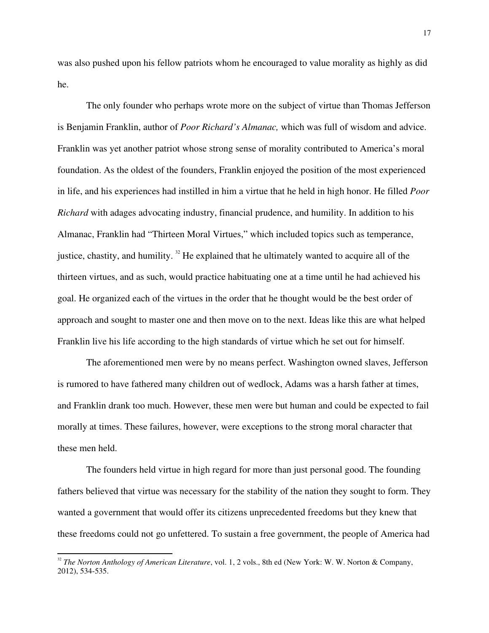was also pushed upon his fellow patriots whom he encouraged to value morality as highly as did he.

The only founder who perhaps wrote more on the subject of virtue than Thomas Jefferson is Benjamin Franklin, author of *Poor Richard's Almanac,* which was full of wisdom and advice. Franklin was yet another patriot whose strong sense of morality contributed to America's moral foundation. As the oldest of the founders, Franklin enjoyed the position of the most experienced in life, and his experiences had instilled in him a virtue that he held in high honor. He filled *Poor Richard* with adages advocating industry, financial prudence, and humility. In addition to his Almanac, Franklin had "Thirteen Moral Virtues," which included topics such as temperance, justice, chastity, and humility.  $32$  He explained that he ultimately wanted to acquire all of the thirteen virtues, and as such, would practice habituating one at a time until he had achieved his goal. He organized each of the virtues in the order that he thought would be the best order of approach and sought to master one and then move on to the next. Ideas like this are what helped Franklin live his life according to the high standards of virtue which he set out for himself.

The aforementioned men were by no means perfect. Washington owned slaves, Jefferson is rumored to have fathered many children out of wedlock, Adams was a harsh father at times, and Franklin drank too much. However, these men were but human and could be expected to fail morally at times. These failures, however, were exceptions to the strong moral character that these men held.

The founders held virtue in high regard for more than just personal good. The founding fathers believed that virtue was necessary for the stability of the nation they sought to form. They wanted a government that would offer its citizens unprecedented freedoms but they knew that these freedoms could not go unfettered. To sustain a free government, the people of America had

<sup>&</sup>lt;sup>32</sup> The Norton Anthology of American Literature, vol. 1, 2 vols., 8th ed (New York: W. W. Norton & Company, 2012), 534-535.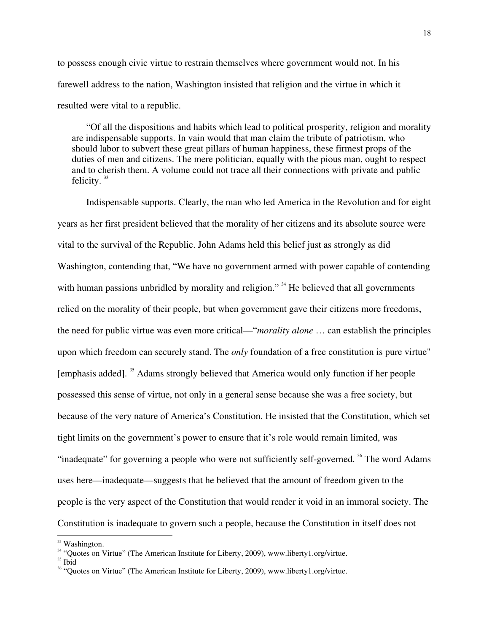to possess enough civic virtue to restrain themselves where government would not. In his farewell address to the nation, Washington insisted that religion and the virtue in which it resulted were vital to a republic.

"Of all the dispositions and habits which lead to political prosperity, religion and morality are indispensable supports. In vain would that man claim the tribute of patriotism, who should labor to subvert these great pillars of human happiness, these firmest props of the duties of men and citizens. The mere politician, equally with the pious man, ought to respect and to cherish them. A volume could not trace all their connections with private and public felicity.  $33$ 

Indispensable supports. Clearly, the man who led America in the Revolution and for eight years as her first president believed that the morality of her citizens and its absolute source were vital to the survival of the Republic. John Adams held this belief just as strongly as did Washington, contending that, "We have no government armed with power capable of contending with human passions unbridled by morality and religion."<sup>34</sup> He believed that all governments relied on the morality of their people, but when government gave their citizens more freedoms, the need for public virtue was even more critical—"*morality alone* … can establish the principles upon which freedom can securely stand. The *only* foundation of a free constitution is pure virtue" [emphasis added]. <sup>35</sup> Adams strongly believed that America would only function if her people possessed this sense of virtue, not only in a general sense because she was a free society, but because of the very nature of America's Constitution. He insisted that the Constitution, which set tight limits on the government's power to ensure that it's role would remain limited, was "inadequate" for governing a people who were not sufficiently self-governed. <sup>36</sup> The word Adams uses here—inadequate—suggests that he believed that the amount of freedom given to the people is the very aspect of the Constitution that would render it void in an immoral society. The Constitution is inadequate to govern such a people, because the Constitution in itself does not

 $33$  Washington.

<sup>&</sup>lt;sup>34</sup> "Ouotes on Virtue" (The American Institute for Liberty, 2009), www.liberty1.org/virtue.

<sup>&</sup>lt;sup>35</sup> Ibid

<sup>&</sup>lt;sup>36</sup> "Quotes on Virtue" (The American Institute for Liberty, 2009), www.liberty1.org/virtue.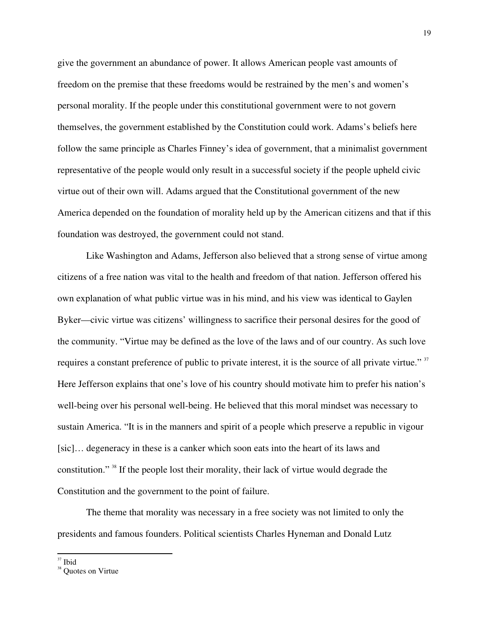give the government an abundance of power. It allows American people vast amounts of freedom on the premise that these freedoms would be restrained by the men's and women's personal morality. If the people under this constitutional government were to not govern themselves, the government established by the Constitution could work. Adams's beliefs here follow the same principle as Charles Finney's idea of government, that a minimalist government representative of the people would only result in a successful society if the people upheld civic virtue out of their own will. Adams argued that the Constitutional government of the new America depended on the foundation of morality held up by the American citizens and that if this foundation was destroyed, the government could not stand.

Like Washington and Adams, Jefferson also believed that a strong sense of virtue among citizens of a free nation was vital to the health and freedom of that nation. Jefferson offered his own explanation of what public virtue was in his mind, and his view was identical to Gaylen Byker—civic virtue was citizens' willingness to sacrifice their personal desires for the good of the community. "Virtue may be defined as the love of the laws and of our country. As such love requires a constant preference of public to private interest, it is the source of all private virtue."<sup>37</sup> Here Jefferson explains that one's love of his country should motivate him to prefer his nation's well-being over his personal well-being. He believed that this moral mindset was necessary to sustain America. "It is in the manners and spirit of a people which preserve a republic in vigour [sic]… degeneracy in these is a canker which soon eats into the heart of its laws and constitution." <sup>38</sup> If the people lost their morality, their lack of virtue would degrade the Constitution and the government to the point of failure.

The theme that morality was necessary in a free society was not limited to only the presidents and famous founders. Political scientists Charles Hyneman and Donald Lutz

 $37$  Ibid

<sup>&</sup>lt;sup>38</sup> Quotes on Virtue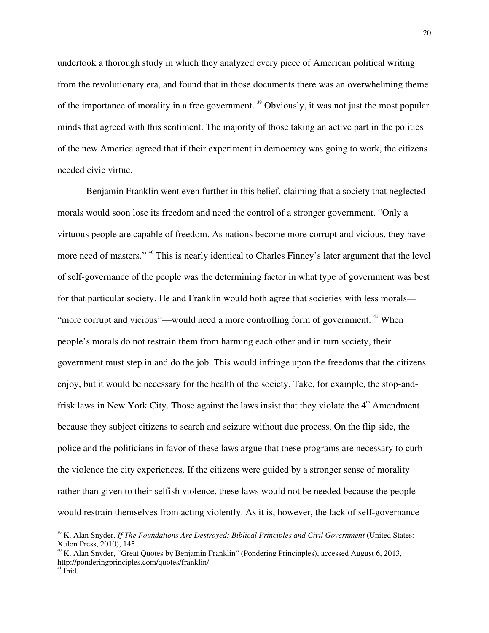undertook a thorough study in which they analyzed every piece of American political writing from the revolutionary era, and found that in those documents there was an overwhelming theme of the importance of morality in a free government. <sup>39</sup> Obviously, it was not just the most popular minds that agreed with this sentiment. The majority of those taking an active part in the politics of the new America agreed that if their experiment in democracy was going to work, the citizens needed civic virtue.

Benjamin Franklin went even further in this belief, claiming that a society that neglected morals would soon lose its freedom and need the control of a stronger government. "Only a virtuous people are capable of freedom. As nations become more corrupt and vicious, they have more need of masters." <sup>40</sup> This is nearly identical to Charles Finney's later argument that the level of self-governance of the people was the determining factor in what type of government was best for that particular society. He and Franklin would both agree that societies with less morals— "more corrupt and vicious"—would need a more controlling form of government.<sup>41</sup> When people's morals do not restrain them from harming each other and in turn society, their government must step in and do the job. This would infringe upon the freedoms that the citizens enjoy, but it would be necessary for the health of the society. Take, for example, the stop-andfrisk laws in New York City. Those against the laws insist that they violate the  $4<sup>th</sup>$  Amendment because they subject citizens to search and seizure without due process. On the flip side, the police and the politicians in favor of these laws argue that these programs are necessary to curb the violence the city experiences. If the citizens were guided by a stronger sense of morality rather than given to their selfish violence, these laws would not be needed because the people would restrain themselves from acting violently. As it is, however, the lack of self-governance

<sup>&</sup>lt;sup>39</sup> K. Alan Snyder, *If The Foundations Are Destroyed: Biblical Principles and Civil Government* (United States: Xulon Press, 2010), 145.

<sup>40</sup> K. Alan Snyder, "Great Quotes by Benjamin Franklin" (Pondering Princinples), accessed August 6, 2013, http://ponderingprinciples.com/quotes/franklin/.

 $41$  Ibid.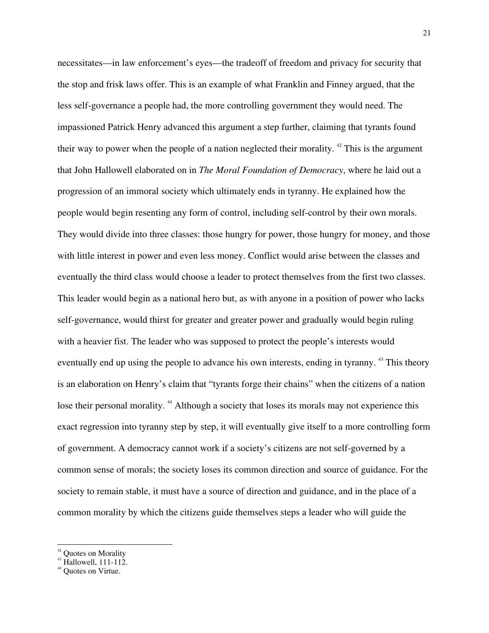necessitates—in law enforcement's eyes—the tradeoff of freedom and privacy for security that the stop and frisk laws offer. This is an example of what Franklin and Finney argued, that the less self-governance a people had, the more controlling government they would need. The impassioned Patrick Henry advanced this argument a step further, claiming that tyrants found their way to power when the people of a nation neglected their morality.  $42$  This is the argument that John Hallowell elaborated on in *The Moral Foundation of Democracy*, where he laid out a progression of an immoral society which ultimately ends in tyranny. He explained how the people would begin resenting any form of control, including self-control by their own morals. They would divide into three classes: those hungry for power, those hungry for money, and those with little interest in power and even less money. Conflict would arise between the classes and eventually the third class would choose a leader to protect themselves from the first two classes. This leader would begin as a national hero but, as with anyone in a position of power who lacks self-governance, would thirst for greater and greater power and gradually would begin ruling with a heavier fist. The leader who was supposed to protect the people's interests would eventually end up using the people to advance his own interests, ending in tyranny.<sup>43</sup> This theory is an elaboration on Henry's claim that "tyrants forge their chains" when the citizens of a nation lose their personal morality. <sup>44</sup> Although a society that loses its morals may not experience this exact regression into tyranny step by step, it will eventually give itself to a more controlling form of government. A democracy cannot work if a society's citizens are not self-governed by a common sense of morals; the society loses its common direction and source of guidance. For the society to remain stable, it must have a source of direction and guidance, and in the place of a common morality by which the citizens guide themselves steps a leader who will guide the

<sup>&</sup>lt;sup>42</sup> Quotes on Morality

 $43$  Hallowell, 111-112.

<sup>&</sup>lt;sup>44</sup> Ouotes on Virtue.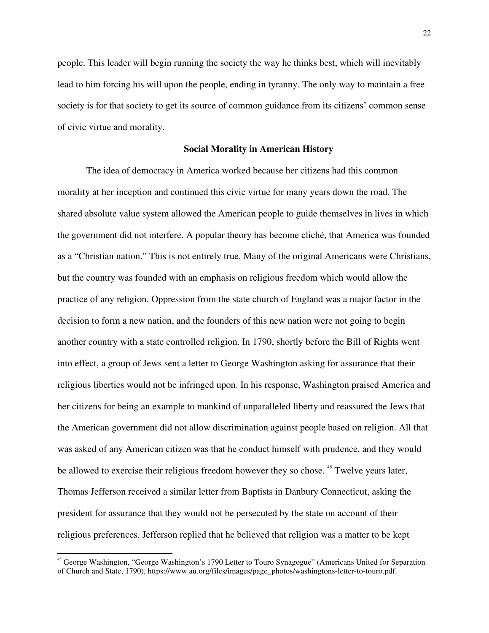people. This leader will begin running the society the way he thinks best, which will inevitably lead to him forcing his will upon the people, ending in tyranny. The only way to maintain a free society is for that society to get its source of common guidance from its citizens' common sense of civic virtue and morality.

### **Social Morality in American History**

The idea of democracy in America worked because her citizens had this common morality at her inception and continued this civic virtue for many years down the road. The shared absolute value system allowed the American people to guide themselves in lives in which the government did not interfere. A popular theory has become cliché, that America was founded as a "Christian nation." This is not entirely true. Many of the original Americans were Christians, but the country was founded with an emphasis on religious freedom which would allow the practice of any religion. Oppression from the state church of England was a major factor in the decision to form a new nation, and the founders of this new nation were not going to begin another country with a state controlled religion. In 1790, shortly before the Bill of Rights went into effect, a group of Jews sent a letter to George Washington asking for assurance that their religious liberties would not be infringed upon. In his response, Washington praised America and her citizens for being an example to mankind of unparalleled liberty and reassured the Jews that the American government did not allow discrimination against people based on religion. All that was asked of any American citizen was that he conduct himself with prudence, and they would be allowed to exercise their religious freedom however they so chose. <sup>45</sup> Twelve years later, Thomas Jefferson received a similar letter from Baptists in Danbury Connecticut, asking the president for assurance that they would not be persecuted by the state on account of their religious preferences. Jefferson replied that he believed that religion was a matter to be kept

<sup>&</sup>lt;sup>45</sup> George Washington, "George Washington's 1790 Letter to Touro Synagogue" (Americans United for Separation of Church and State, 1790), https://www.au.org/files/images/page\_photos/washingtons-letter-to-touro.pdf.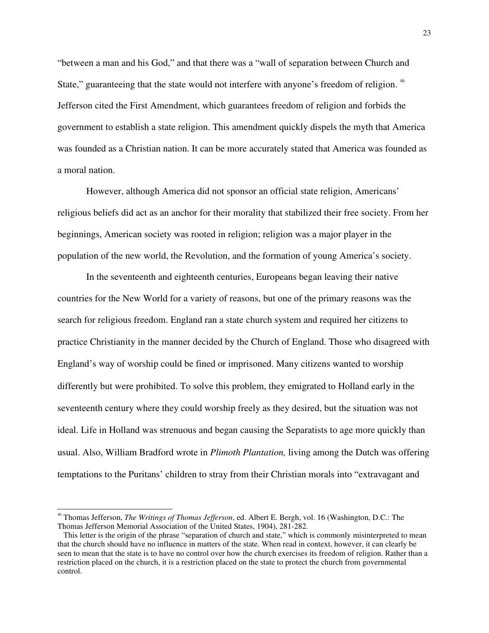"between a man and his God," and that there was a "wall of separation between Church and State," guaranteeing that the state would not interfere with anyone's freedom of religion.<sup>46</sup> Jefferson cited the First Amendment, which guarantees freedom of religion and forbids the government to establish a state religion. This amendment quickly dispels the myth that America was founded as a Christian nation. It can be more accurately stated that America was founded as a moral nation.

However, although America did not sponsor an official state religion, Americans' religious beliefs did act as an anchor for their morality that stabilized their free society. From her beginnings, American society was rooted in religion; religion was a major player in the population of the new world, the Revolution, and the formation of young America's society.

In the seventeenth and eighteenth centuries, Europeans began leaving their native countries for the New World for a variety of reasons, but one of the primary reasons was the search for religious freedom. England ran a state church system and required her citizens to practice Christianity in the manner decided by the Church of England. Those who disagreed with England's way of worship could be fined or imprisoned. Many citizens wanted to worship differently but were prohibited. To solve this problem, they emigrated to Holland early in the seventeenth century where they could worship freely as they desired, but the situation was not ideal. Life in Holland was strenuous and began causing the Separatists to age more quickly than usual. Also, William Bradford wrote in *Plimoth Plantation,* living among the Dutch was offering temptations to the Puritans' children to stray from their Christian morals into "extravagant and

<sup>46</sup> Thomas Jefferson, *The Writings of Thomas Jefferson*, ed. Albert E. Bergh, vol. 16 (Washington, D.C.: The Thomas Jefferson Memorial Association of the United States, 1904), 281-282.

This letter is the origin of the phrase "separation of church and state," which is commonly misinterpreted to mean that the church should have no influence in matters of the state. When read in context, however, it can clearly be seen to mean that the state is to have no control over how the church exercises its freedom of religion. Rather than a restriction placed on the church, it is a restriction placed on the state to protect the church from governmental control.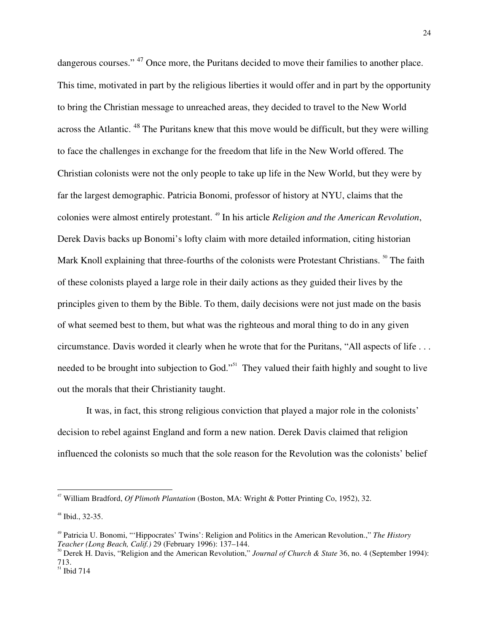dangerous courses." <sup>47</sup> Once more, the Puritans decided to move their families to another place. This time, motivated in part by the religious liberties it would offer and in part by the opportunity to bring the Christian message to unreached areas, they decided to travel to the New World across the Atlantic. <sup>48</sup> The Puritans knew that this move would be difficult, but they were willing to face the challenges in exchange for the freedom that life in the New World offered. The Christian colonists were not the only people to take up life in the New World, but they were by far the largest demographic. Patricia Bonomi, professor of history at NYU, claims that the colonies were almost entirely protestant. <sup>49</sup> In his article *Religion and the American Revolution*, Derek Davis backs up Bonomi's lofty claim with more detailed information, citing historian Mark Knoll explaining that three-fourths of the colonists were Protestant Christians.<sup>50</sup> The faith of these colonists played a large role in their daily actions as they guided their lives by the principles given to them by the Bible. To them, daily decisions were not just made on the basis of what seemed best to them, but what was the righteous and moral thing to do in any given circumstance. Davis worded it clearly when he wrote that for the Puritans, "All aspects of life . . . needed to be brought into subjection to God."<sup>51</sup> They valued their faith highly and sought to live out the morals that their Christianity taught.

It was, in fact, this strong religious conviction that played a major role in the colonists' decision to rebel against England and form a new nation. Derek Davis claimed that religion influenced the colonists so much that the sole reason for the Revolution was the colonists' belief

<sup>47</sup> William Bradford, *Of Plimoth Plantation* (Boston, MA: Wright & Potter Printing Co, 1952), 32.

<sup>48</sup> Ibid., 32-35.

<sup>49</sup> Patricia U. Bonomi, "'Hippocrates' Twins': Religion and Politics in the American Revolution.," *The History Teacher (Long Beach, Calif.)* 29 (February 1996): 137–144.

<sup>50</sup> Derek H. Davis, "Religion and the American Revolution," *Journal of Church & State* 36, no. 4 (September 1994): 713.

 $51$  Ibid 714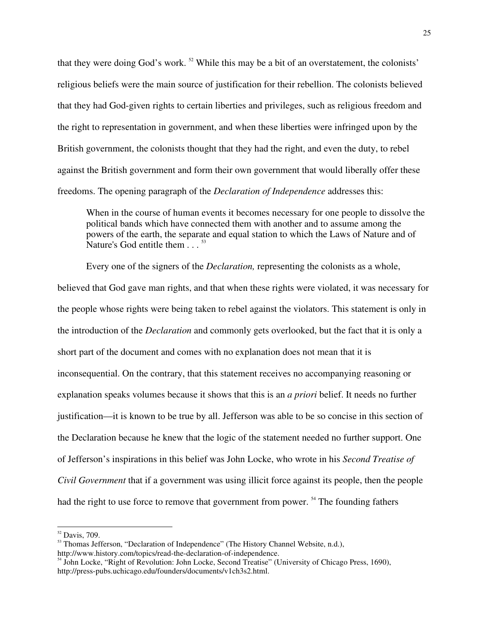that they were doing God's work.<sup>52</sup> While this may be a bit of an overstatement, the colonists' religious beliefs were the main source of justification for their rebellion. The colonists believed that they had God-given rights to certain liberties and privileges, such as religious freedom and the right to representation in government, and when these liberties were infringed upon by the British government, the colonists thought that they had the right, and even the duty, to rebel against the British government and form their own government that would liberally offer these freedoms. The opening paragraph of the *Declaration of Independence* addresses this:

When in the course of human events it becomes necessary for one people to dissolve the political bands which have connected them with another and to assume among the powers of the earth, the separate and equal station to which the Laws of Nature and of Nature's God entitle them  $\ldots$ <sup>53</sup>

Every one of the signers of the *Declaration,* representing the colonists as a whole, believed that God gave man rights, and that when these rights were violated, it was necessary for the people whose rights were being taken to rebel against the violators. This statement is only in the introduction of the *Declaration* and commonly gets overlooked, but the fact that it is only a short part of the document and comes with no explanation does not mean that it is inconsequential. On the contrary, that this statement receives no accompanying reasoning or explanation speaks volumes because it shows that this is an *a priori* belief. It needs no further justification—it is known to be true by all. Jefferson was able to be so concise in this section of the Declaration because he knew that the logic of the statement needed no further support. One of Jefferson's inspirations in this belief was John Locke, who wrote in his *Second Treatise of Civil Government* that if a government was using illicit force against its people, then the people had the right to use force to remove that government from power.<sup>54</sup> The founding fathers

<sup>52</sup> Davis, 709.

<sup>&</sup>lt;sup>53</sup> Thomas Jefferson, "Declaration of Independence" (The History Channel Website, n.d.), http://www.history.com/topics/read-the-declaration-of-independence.

<sup>&</sup>lt;sup>54</sup> John Locke, "Right of Revolution: John Locke, Second Treatise" (University of Chicago Press, 1690), http://press-pubs.uchicago.edu/founders/documents/v1ch3s2.html.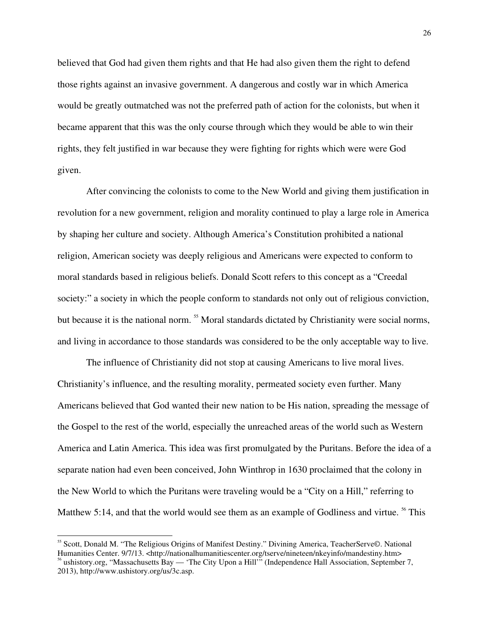believed that God had given them rights and that He had also given them the right to defend those rights against an invasive government. A dangerous and costly war in which America would be greatly outmatched was not the preferred path of action for the colonists, but when it became apparent that this was the only course through which they would be able to win their rights, they felt justified in war because they were fighting for rights which were were God given.

After convincing the colonists to come to the New World and giving them justification in revolution for a new government, religion and morality continued to play a large role in America by shaping her culture and society. Although America's Constitution prohibited a national religion, American society was deeply religious and Americans were expected to conform to moral standards based in religious beliefs. Donald Scott refers to this concept as a "Creedal society:" a society in which the people conform to standards not only out of religious conviction, but because it is the national norm.<sup>55</sup> Moral standards dictated by Christianity were social norms, and living in accordance to those standards was considered to be the only acceptable way to live.

The influence of Christianity did not stop at causing Americans to live moral lives. Christianity's influence, and the resulting morality, permeated society even further. Many Americans believed that God wanted their new nation to be His nation, spreading the message of the Gospel to the rest of the world, especially the unreached areas of the world such as Western America and Latin America. This idea was first promulgated by the Puritans. Before the idea of a separate nation had even been conceived, John Winthrop in 1630 proclaimed that the colony in the New World to which the Puritans were traveling would be a "City on a Hill," referring to Matthew 5:14, and that the world would see them as an example of Godliness and virtue. <sup>56</sup> This

<sup>55</sup> Scott, Donald M. "The Religious Origins of Manifest Destiny." Divining America, TeacherServe©. National Humanities Center. 9/7/13. <http://nationalhumanitiescenter.org/tserve/nineteen/nkeyinfo/mandestiny.htm> ushistory.org, "Massachusetts Bay — 'The City Upon a Hill'" (Independence Hall Association, September 7, 2013), http://www.ushistory.org/us/3c.asp.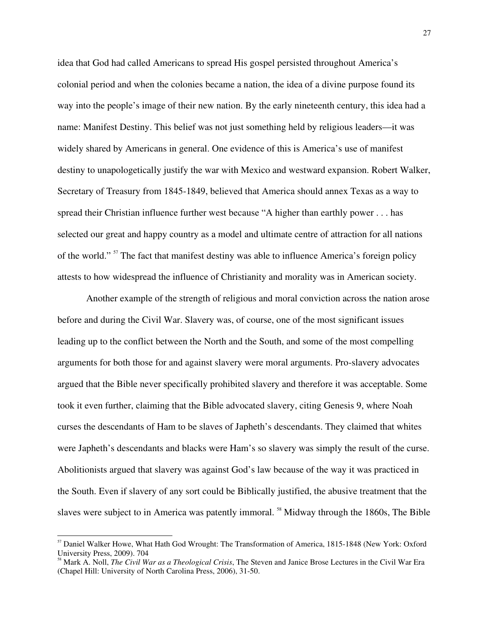idea that God had called Americans to spread His gospel persisted throughout America's colonial period and when the colonies became a nation, the idea of a divine purpose found its way into the people's image of their new nation. By the early nineteenth century, this idea had a name: Manifest Destiny. This belief was not just something held by religious leaders—it was widely shared by Americans in general. One evidence of this is America's use of manifest destiny to unapologetically justify the war with Mexico and westward expansion. Robert Walker, Secretary of Treasury from 1845-1849, believed that America should annex Texas as a way to spread their Christian influence further west because "A higher than earthly power . . . has selected our great and happy country as a model and ultimate centre of attraction for all nations of the world."<sup>57</sup> The fact that manifest destiny was able to influence America's foreign policy attests to how widespread the influence of Christianity and morality was in American society.

Another example of the strength of religious and moral conviction across the nation arose before and during the Civil War. Slavery was, of course, one of the most significant issues leading up to the conflict between the North and the South, and some of the most compelling arguments for both those for and against slavery were moral arguments. Pro-slavery advocates argued that the Bible never specifically prohibited slavery and therefore it was acceptable. Some took it even further, claiming that the Bible advocated slavery, citing Genesis 9, where Noah curses the descendants of Ham to be slaves of Japheth's descendants. They claimed that whites were Japheth's descendants and blacks were Ham's so slavery was simply the result of the curse. Abolitionists argued that slavery was against God's law because of the way it was practiced in the South. Even if slavery of any sort could be Biblically justified, the abusive treatment that the slaves were subject to in America was patently immoral. <sup>58</sup> Midway through the 1860s, The Bible

 $<sup>57</sup>$  Daniel Walker Howe, What Hath God Wrought: The Transformation of America, 1815-1848 (New York: Oxford</sup> University Press, 2009). 704

<sup>58</sup> Mark A. Noll, *The Civil War as a Theological Crisis*, The Steven and Janice Brose Lectures in the Civil War Era (Chapel Hill: University of North Carolina Press, 2006), 31-50.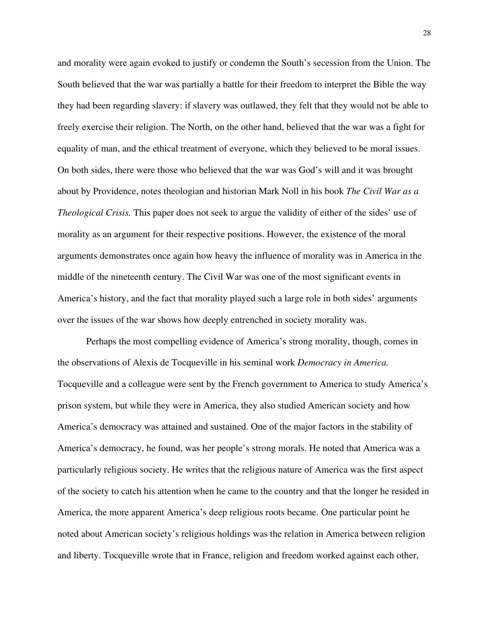and morality were again evoked to justify or condemn the South's secession from the Union. The South believed that the war was partially a battle for their freedom to interpret the Bible the way they had been regarding slavery: if slavery was outlawed, they felt that they would not be able to freely exercise their religion. The North, on the other hand, believed that the war was a fight for equality of man, and the ethical treatment of everyone, which they believed to be moral issues. On both sides, there were those who believed that the war was God's will and it was brought about by Providence, notes theologian and historian Mark Noll in his book *The Civil War as a Theological Crisis.* This paper does not seek to argue the validity of either of the sides' use of morality as an argument for their respective positions. However, the existence of the moral arguments demonstrates once again how heavy the influence of morality was in America in the middle of the nineteenth century. The Civil War was one of the most significant events in America's history, and the fact that morality played such a large role in both sides' arguments over the issues of the war shows how deeply entrenched in society morality was.

Perhaps the most compelling evidence of America's strong morality, though, comes in the observations of Alexis de Tocqueville in his seminal work *Democracy in America.*  Tocqueville and a colleague were sent by the French government to America to study America's prison system, but while they were in America, they also studied American society and how America's democracy was attained and sustained. One of the major factors in the stability of America's democracy, he found, was her people's strong morals. He noted that America was a particularly religious society. He writes that the religious nature of America was the first aspect of the society to catch his attention when he came to the country and that the longer he resided in America, the more apparent America's deep religious roots became. One particular point he noted about American society's religious holdings was the relation in America between religion and liberty. Tocqueville wrote that in France, religion and freedom worked against each other,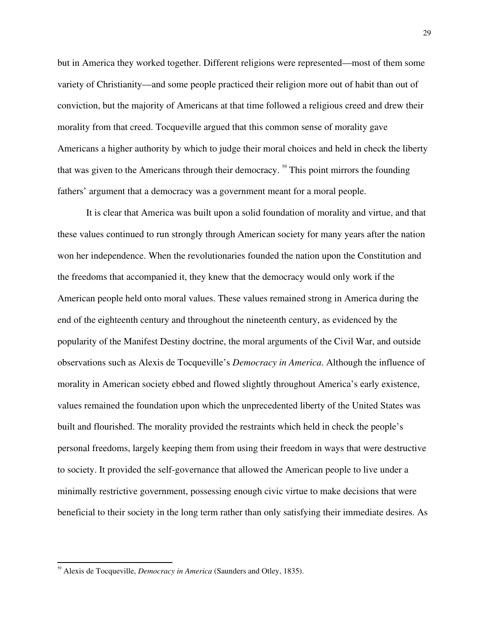but in America they worked together. Different religions were represented—most of them some variety of Christianity—and some people practiced their religion more out of habit than out of conviction, but the majority of Americans at that time followed a religious creed and drew their morality from that creed. Tocqueville argued that this common sense of morality gave Americans a higher authority by which to judge their moral choices and held in check the liberty that was given to the Americans through their democracy. <sup>59</sup> This point mirrors the founding fathers' argument that a democracy was a government meant for a moral people.

It is clear that America was built upon a solid foundation of morality and virtue, and that these values continued to run strongly through American society for many years after the nation won her independence. When the revolutionaries founded the nation upon the Constitution and the freedoms that accompanied it, they knew that the democracy would only work if the American people held onto moral values. These values remained strong in America during the end of the eighteenth century and throughout the nineteenth century, as evidenced by the popularity of the Manifest Destiny doctrine, the moral arguments of the Civil War, and outside observations such as Alexis de Tocqueville's *Democracy in America*. Although the influence of morality in American society ebbed and flowed slightly throughout America's early existence, values remained the foundation upon which the unprecedented liberty of the United States was built and flourished. The morality provided the restraints which held in check the people's personal freedoms, largely keeping them from using their freedom in ways that were destructive to society. It provided the self-governance that allowed the American people to live under a minimally restrictive government, possessing enough civic virtue to make decisions that were beneficial to their society in the long term rather than only satisfying their immediate desires. As

<sup>&</sup>lt;sup>59</sup> Alexis de Tocqueville, *Democracy in America* (Saunders and Otley, 1835).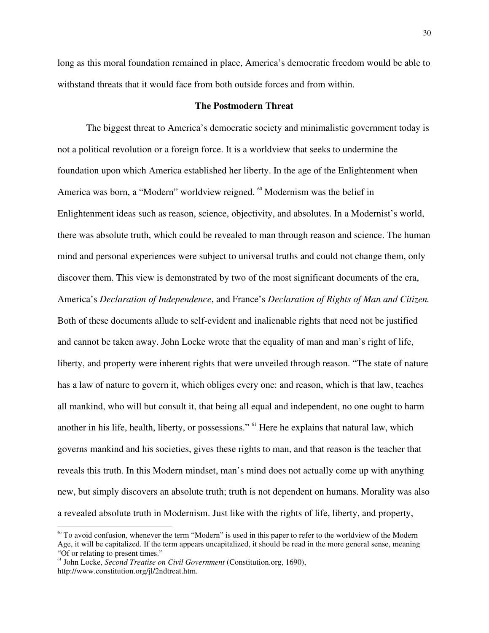long as this moral foundation remained in place, America's democratic freedom would be able to withstand threats that it would face from both outside forces and from within.

### **The Postmodern Threat**

The biggest threat to America's democratic society and minimalistic government today is not a political revolution or a foreign force. It is a worldview that seeks to undermine the foundation upon which America established her liberty. In the age of the Enlightenment when America was born, a "Modern" worldview reigned. <sup>60</sup> Modernism was the belief in Enlightenment ideas such as reason, science, objectivity, and absolutes. In a Modernist's world, there was absolute truth, which could be revealed to man through reason and science. The human mind and personal experiences were subject to universal truths and could not change them, only discover them. This view is demonstrated by two of the most significant documents of the era, America's *Declaration of Independence*, and France's *Declaration of Rights of Man and Citizen.*  Both of these documents allude to self-evident and inalienable rights that need not be justified and cannot be taken away. John Locke wrote that the equality of man and man's right of life, liberty, and property were inherent rights that were unveiled through reason. "The state of nature has a law of nature to govern it, which obliges every one: and reason, which is that law, teaches all mankind, who will but consult it, that being all equal and independent, no one ought to harm another in his life, health, liberty, or possessions." <sup>61</sup> Here he explains that natural law, which governs mankind and his societies, gives these rights to man, and that reason is the teacher that reveals this truth. In this Modern mindset, man's mind does not actually come up with anything new, but simply discovers an absolute truth; truth is not dependent on humans. Morality was also a revealed absolute truth in Modernism. Just like with the rights of life, liberty, and property,

 $60$  To avoid confusion, whenever the term "Modern" is used in this paper to refer to the worldview of the Modern Age, it will be capitalized. If the term appears uncapitalized, it should be read in the more general sense, meaning "Of or relating to present times."

<sup>61</sup> John Locke, *Second Treatise on Civil Government* (Constitution.org, 1690), http://www.constitution.org/jl/2ndtreat.htm.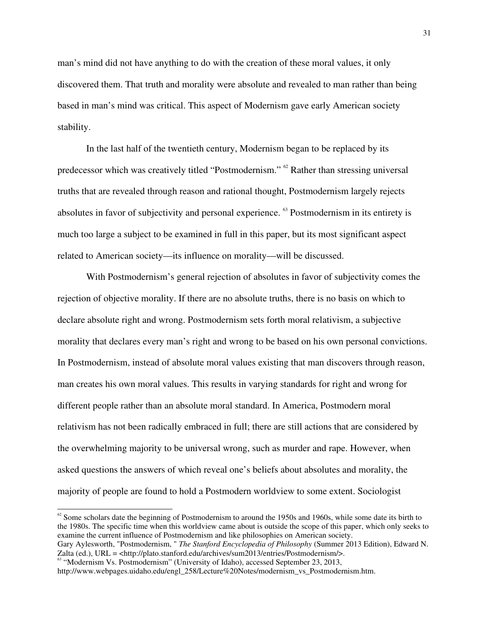man's mind did not have anything to do with the creation of these moral values, it only discovered them. That truth and morality were absolute and revealed to man rather than being based in man's mind was critical. This aspect of Modernism gave early American society stability.

In the last half of the twentieth century, Modernism began to be replaced by its predecessor which was creatively titled "Postmodernism." <sup>62</sup> Rather than stressing universal truths that are revealed through reason and rational thought, Postmodernism largely rejects absolutes in favor of subjectivity and personal experience. <sup>63</sup> Postmodernism in its entirety is much too large a subject to be examined in full in this paper, but its most significant aspect related to American society—its influence on morality—will be discussed.

With Postmodernism's general rejection of absolutes in favor of subjectivity comes the rejection of objective morality. If there are no absolute truths, there is no basis on which to declare absolute right and wrong. Postmodernism sets forth moral relativism, a subjective morality that declares every man's right and wrong to be based on his own personal convictions. In Postmodernism, instead of absolute moral values existing that man discovers through reason, man creates his own moral values. This results in varying standards for right and wrong for different people rather than an absolute moral standard. In America, Postmodern moral relativism has not been radically embraced in full; there are still actions that are considered by the overwhelming majority to be universal wrong, such as murder and rape. However, when asked questions the answers of which reveal one's beliefs about absolutes and morality, the majority of people are found to hold a Postmodern worldview to some extent. Sociologist

 $62$  Some scholars date the beginning of Postmodernism to around the 1950s and 1960s, while some date its birth to the 1980s. The specific time when this worldview came about is outside the scope of this paper, which only seeks to examine the current influence of Postmodernism and like philosophies on American society. Gary Aylesworth, "Postmodernism, " *The Stanford Encyclopedia of Philosophy* (Summer 2013 Edition), Edward N.

Zalta (ed.), URL = <http://plato.stanford.edu/archives/sum2013/entries/Postmodernism/>.

<sup>&</sup>lt;sup>63</sup> "Modernism Vs. Postmodernism" (University of Idaho), accessed September 23, 2013, http://www.webpages.uidaho.edu/engl\_258/Lecture%20Notes/modernism\_vs\_Postmodernism.htm.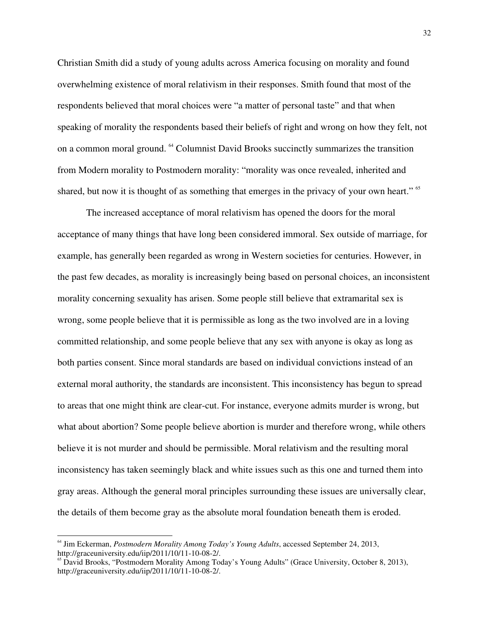Christian Smith did a study of young adults across America focusing on morality and found overwhelming existence of moral relativism in their responses. Smith found that most of the respondents believed that moral choices were "a matter of personal taste" and that when speaking of morality the respondents based their beliefs of right and wrong on how they felt, not on a common moral ground. <sup>64</sup> Columnist David Brooks succinctly summarizes the transition from Modern morality to Postmodern morality: "morality was once revealed, inherited and shared, but now it is thought of as something that emerges in the privacy of your own heart." <sup>65</sup>

The increased acceptance of moral relativism has opened the doors for the moral acceptance of many things that have long been considered immoral. Sex outside of marriage, for example, has generally been regarded as wrong in Western societies for centuries. However, in the past few decades, as morality is increasingly being based on personal choices, an inconsistent morality concerning sexuality has arisen. Some people still believe that extramarital sex is wrong, some people believe that it is permissible as long as the two involved are in a loving committed relationship, and some people believe that any sex with anyone is okay as long as both parties consent. Since moral standards are based on individual convictions instead of an external moral authority, the standards are inconsistent. This inconsistency has begun to spread to areas that one might think are clear-cut. For instance, everyone admits murder is wrong, but what about abortion? Some people believe abortion is murder and therefore wrong, while others believe it is not murder and should be permissible. Moral relativism and the resulting moral inconsistency has taken seemingly black and white issues such as this one and turned them into gray areas. Although the general moral principles surrounding these issues are universally clear, the details of them become gray as the absolute moral foundation beneath them is eroded.

<sup>64</sup> Jim Eckerman, *Postmodern Morality Among Today's Young Adults*, accessed September 24, 2013, http://graceuniversity.edu/iip/2011/10/11-10-08-2/.

<sup>&</sup>lt;sup>65</sup> David Brooks, "Postmodern Morality Among Today's Young Adults" (Grace University, October 8, 2013), http://graceuniversity.edu/iip/2011/10/11-10-08-2/.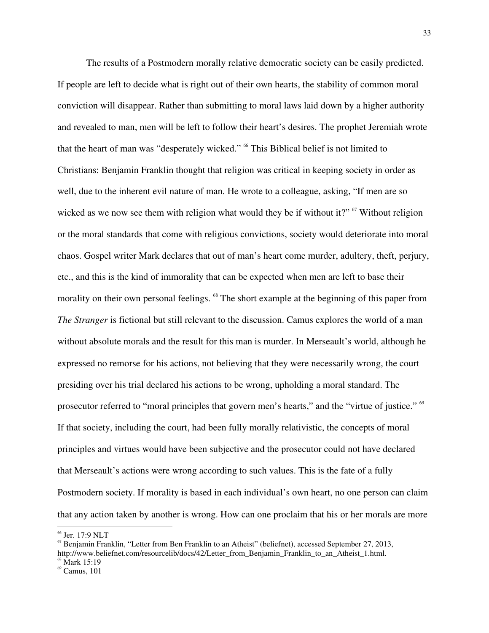The results of a Postmodern morally relative democratic society can be easily predicted. If people are left to decide what is right out of their own hearts, the stability of common moral conviction will disappear. Rather than submitting to moral laws laid down by a higher authority and revealed to man, men will be left to follow their heart's desires. The prophet Jeremiah wrote that the heart of man was "desperately wicked." <sup>66</sup> This Biblical belief is not limited to Christians: Benjamin Franklin thought that religion was critical in keeping society in order as well, due to the inherent evil nature of man. He wrote to a colleague, asking, "If men are so wicked as we now see them with religion what would they be if without it?"  $\frac{67}{100}$  Without religion or the moral standards that come with religious convictions, society would deteriorate into moral chaos. Gospel writer Mark declares that out of man's heart come murder, adultery, theft, perjury, etc., and this is the kind of immorality that can be expected when men are left to base their morality on their own personal feelings. <sup>68</sup> The short example at the beginning of this paper from *The Stranger* is fictional but still relevant to the discussion. Camus explores the world of a man without absolute morals and the result for this man is murder. In Merseault's world, although he expressed no remorse for his actions, not believing that they were necessarily wrong, the court presiding over his trial declared his actions to be wrong, upholding a moral standard. The prosecutor referred to "moral principles that govern men's hearts," and the "virtue of justice." <sup>69</sup> If that society, including the court, had been fully morally relativistic, the concepts of moral principles and virtues would have been subjective and the prosecutor could not have declared that Merseault's actions were wrong according to such values. This is the fate of a fully Postmodern society. If morality is based in each individual's own heart, no one person can claim that any action taken by another is wrong. How can one proclaim that his or her morals are more

<sup>66</sup> Jer. 17:9 NLT

 $\sigma$ <sup>67</sup> Benjamin Franklin, "Letter from Ben Franklin to an Atheist" (beliefnet), accessed September 27, 2013, http://www.beliefnet.com/resourcelib/docs/42/Letter\_from\_Benjamin\_Franklin\_to\_an\_Atheist\_1.html.

Mark 15:19

 $^{69}$  Camus, 101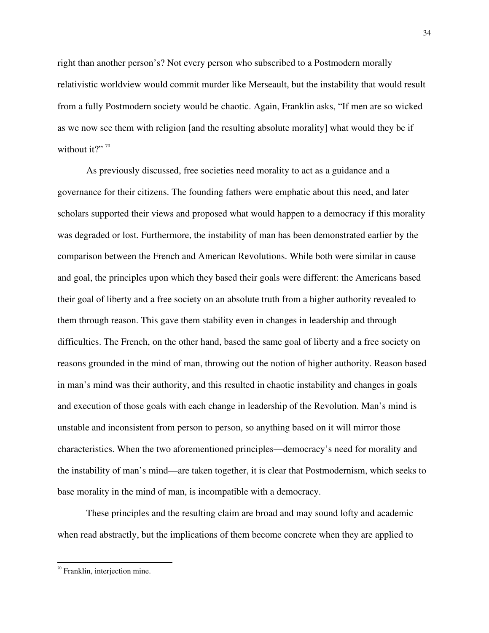right than another person's? Not every person who subscribed to a Postmodern morally relativistic worldview would commit murder like Merseault, but the instability that would result from a fully Postmodern society would be chaotic. Again, Franklin asks, "If men are so wicked as we now see them with religion [and the resulting absolute morality] what would they be if without it?" $70$ 

As previously discussed, free societies need morality to act as a guidance and a governance for their citizens. The founding fathers were emphatic about this need, and later scholars supported their views and proposed what would happen to a democracy if this morality was degraded or lost. Furthermore, the instability of man has been demonstrated earlier by the comparison between the French and American Revolutions. While both were similar in cause and goal, the principles upon which they based their goals were different: the Americans based their goal of liberty and a free society on an absolute truth from a higher authority revealed to them through reason. This gave them stability even in changes in leadership and through difficulties. The French, on the other hand, based the same goal of liberty and a free society on reasons grounded in the mind of man, throwing out the notion of higher authority. Reason based in man's mind was their authority, and this resulted in chaotic instability and changes in goals and execution of those goals with each change in leadership of the Revolution. Man's mind is unstable and inconsistent from person to person, so anything based on it will mirror those characteristics. When the two aforementioned principles—democracy's need for morality and the instability of man's mind—are taken together, it is clear that Postmodernism, which seeks to base morality in the mind of man, is incompatible with a democracy.

These principles and the resulting claim are broad and may sound lofty and academic when read abstractly, but the implications of them become concrete when they are applied to

 $70$ <sup>0</sup> Franklin, interjection mine.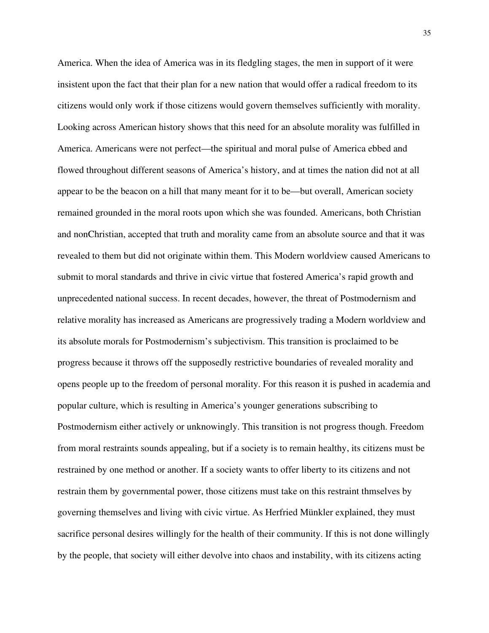America. When the idea of America was in its fledgling stages, the men in support of it were insistent upon the fact that their plan for a new nation that would offer a radical freedom to its citizens would only work if those citizens would govern themselves sufficiently with morality. Looking across American history shows that this need for an absolute morality was fulfilled in America. Americans were not perfect—the spiritual and moral pulse of America ebbed and flowed throughout different seasons of America's history, and at times the nation did not at all appear to be the beacon on a hill that many meant for it to be—but overall, American society remained grounded in the moral roots upon which she was founded. Americans, both Christian and nonChristian, accepted that truth and morality came from an absolute source and that it was revealed to them but did not originate within them. This Modern worldview caused Americans to submit to moral standards and thrive in civic virtue that fostered America's rapid growth and unprecedented national success. In recent decades, however, the threat of Postmodernism and relative morality has increased as Americans are progressively trading a Modern worldview and its absolute morals for Postmodernism's subjectivism. This transition is proclaimed to be progress because it throws off the supposedly restrictive boundaries of revealed morality and opens people up to the freedom of personal morality. For this reason it is pushed in academia and popular culture, which is resulting in America's younger generations subscribing to Postmodernism either actively or unknowingly. This transition is not progress though. Freedom from moral restraints sounds appealing, but if a society is to remain healthy, its citizens must be restrained by one method or another. If a society wants to offer liberty to its citizens and not restrain them by governmental power, those citizens must take on this restraint thmselves by governing themselves and living with civic virtue. As Herfried Münkler explained, they must sacrifice personal desires willingly for the health of their community. If this is not done willingly by the people, that society will either devolve into chaos and instability, with its citizens acting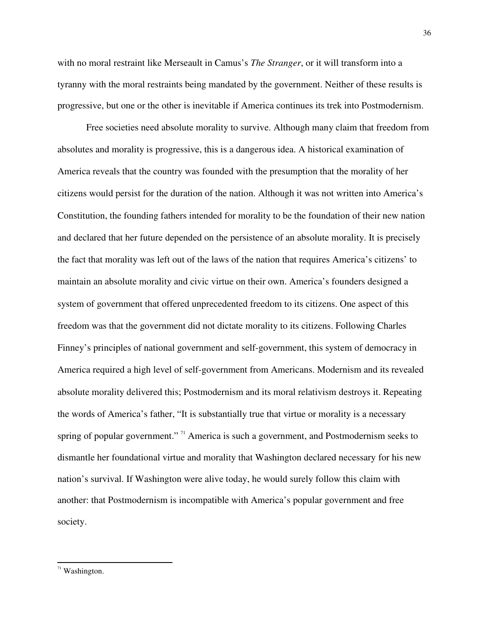with no moral restraint like Merseault in Camus's *The Stranger*, or it will transform into a tyranny with the moral restraints being mandated by the government. Neither of these results is progressive, but one or the other is inevitable if America continues its trek into Postmodernism.

Free societies need absolute morality to survive. Although many claim that freedom from absolutes and morality is progressive, this is a dangerous idea. A historical examination of America reveals that the country was founded with the presumption that the morality of her citizens would persist for the duration of the nation. Although it was not written into America's Constitution, the founding fathers intended for morality to be the foundation of their new nation and declared that her future depended on the persistence of an absolute morality. It is precisely the fact that morality was left out of the laws of the nation that requires America's citizens' to maintain an absolute morality and civic virtue on their own. America's founders designed a system of government that offered unprecedented freedom to its citizens. One aspect of this freedom was that the government did not dictate morality to its citizens. Following Charles Finney's principles of national government and self-government, this system of democracy in America required a high level of self-government from Americans. Modernism and its revealed absolute morality delivered this; Postmodernism and its moral relativism destroys it. Repeating the words of America's father, "It is substantially true that virtue or morality is a necessary spring of popular government." <sup>71</sup> America is such a government, and Postmodernism seeks to dismantle her foundational virtue and morality that Washington declared necessary for his new nation's survival. If Washington were alive today, he would surely follow this claim with another: that Postmodernism is incompatible with America's popular government and free society.

 $71$  Washington.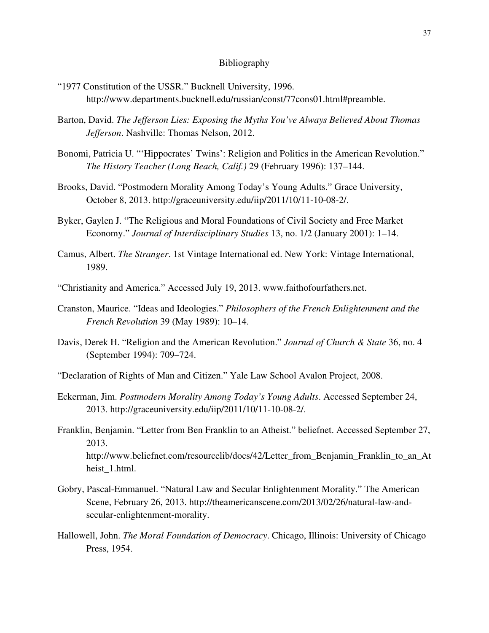### Bibliography

- "1977 Constitution of the USSR." Bucknell University, 1996. http://www.departments.bucknell.edu/russian/const/77cons01.html#preamble.
- Barton, David. *The Jefferson Lies: Exposing the Myths You've Always Believed About Thomas Jefferson*. Nashville: Thomas Nelson, 2012.
- Bonomi, Patricia U. "'Hippocrates' Twins': Religion and Politics in the American Revolution." *The History Teacher (Long Beach, Calif.)* 29 (February 1996): 137–144.
- Brooks, David. "Postmodern Morality Among Today's Young Adults." Grace University, October 8, 2013. http://graceuniversity.edu/iip/2011/10/11-10-08-2/.
- Byker, Gaylen J. "The Religious and Moral Foundations of Civil Society and Free Market Economy." *Journal of Interdisciplinary Studies* 13, no. 1/2 (January 2001): 1–14.
- Camus, Albert. *The Stranger*. 1st Vintage International ed. New York: Vintage International, 1989.
- "Christianity and America." Accessed July 19, 2013. www.faithofourfathers.net.
- Cranston, Maurice. "Ideas and Ideologies." *Philosophers of the French Enlightenment and the French Revolution* 39 (May 1989): 10–14.
- Davis, Derek H. "Religion and the American Revolution." *Journal of Church & State* 36, no. 4 (September 1994): 709–724.
- "Declaration of Rights of Man and Citizen." Yale Law School Avalon Project, 2008.
- Eckerman, Jim. *Postmodern Morality Among Today's Young Adults*. Accessed September 24, 2013. http://graceuniversity.edu/iip/2011/10/11-10-08-2/.
- Franklin, Benjamin. "Letter from Ben Franklin to an Atheist." beliefnet. Accessed September 27, 2013. http://www.beliefnet.com/resourcelib/docs/42/Letter\_from\_Benjamin\_Franklin\_to\_an\_At heist\_1.html.
- Gobry, Pascal-Emmanuel. "Natural Law and Secular Enlightenment Morality." The American Scene, February 26, 2013. http://theamericanscene.com/2013/02/26/natural-law-andsecular-enlightenment-morality.
- Hallowell, John. *The Moral Foundation of Democracy*. Chicago, Illinois: University of Chicago Press, 1954.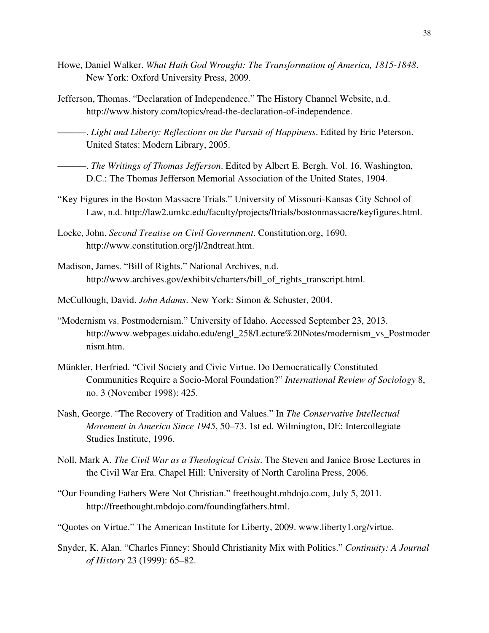- Howe, Daniel Walker. *What Hath God Wrought: The Transformation of America, 1815-1848*. New York: Oxford University Press, 2009.
- Jefferson, Thomas. "Declaration of Independence." The History Channel Website, n.d. http://www.history.com/topics/read-the-declaration-of-independence.

———. *Light and Liberty: Reflections on the Pursuit of Happiness*. Edited by Eric Peterson. United States: Modern Library, 2005.

———. *The Writings of Thomas Jefferson*. Edited by Albert E. Bergh. Vol. 16. Washington, D.C.: The Thomas Jefferson Memorial Association of the United States, 1904.

- "Key Figures in the Boston Massacre Trials." University of Missouri-Kansas City School of Law, n.d. http://law2.umkc.edu/faculty/projects/ftrials/bostonmassacre/keyfigures.html.
- Locke, John. *Second Treatise on Civil Government*. Constitution.org, 1690. http://www.constitution.org/jl/2ndtreat.htm.
- Madison, James. "Bill of Rights." National Archives, n.d. http://www.archives.gov/exhibits/charters/bill\_of\_rights\_transcript.html.
- McCullough, David. *John Adams*. New York: Simon & Schuster, 2004.
- "Modernism vs. Postmodernism." University of Idaho. Accessed September 23, 2013. http://www.webpages.uidaho.edu/engl\_258/Lecture%20Notes/modernism\_vs\_Postmoder nism.htm.
- Münkler, Herfried. "Civil Society and Civic Virtue. Do Democratically Constituted Communities Require a Socio-Moral Foundation?" *International Review of Sociology* 8, no. 3 (November 1998): 425.
- Nash, George. "The Recovery of Tradition and Values." In *The Conservative Intellectual Movement in America Since 1945*, 50–73. 1st ed. Wilmington, DE: Intercollegiate Studies Institute, 1996.
- Noll, Mark A. *The Civil War as a Theological Crisis*. The Steven and Janice Brose Lectures in the Civil War Era. Chapel Hill: University of North Carolina Press, 2006.
- "Our Founding Fathers Were Not Christian." freethought.mbdojo.com, July 5, 2011. http://freethought.mbdojo.com/foundingfathers.html.
- "Quotes on Virtue." The American Institute for Liberty, 2009. www.liberty1.org/virtue.
- Snyder, K. Alan. "Charles Finney: Should Christianity Mix with Politics." *Continuity: A Journal of History* 23 (1999): 65–82.